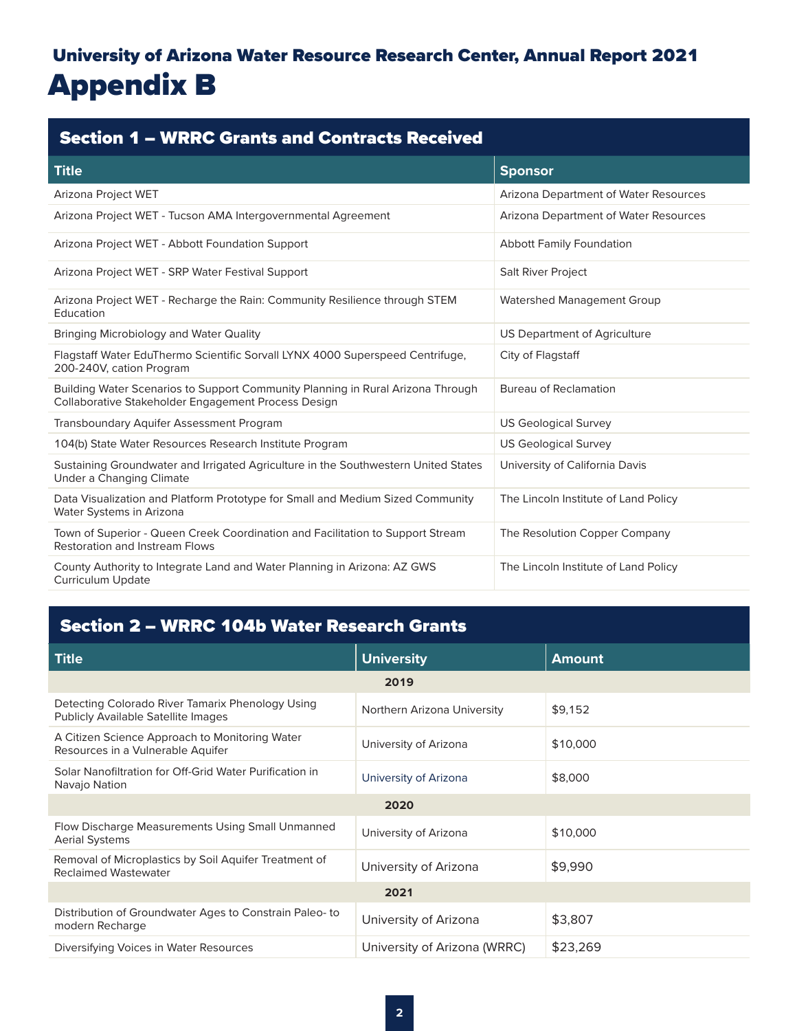# University of Arizona Water Resource Research Center, Annual Report 2021 Appendix B

| <b>Section 1 - WRRC Grants and Contracts Received</b>                                                                                  |                                       |  |  |  |
|----------------------------------------------------------------------------------------------------------------------------------------|---------------------------------------|--|--|--|
| <b>Title</b>                                                                                                                           | <b>Sponsor</b>                        |  |  |  |
| Arizona Project WET                                                                                                                    | Arizona Department of Water Resources |  |  |  |
| Arizona Project WET - Tucson AMA Intergovernmental Agreement                                                                           | Arizona Department of Water Resources |  |  |  |
| Arizona Project WET - Abbott Foundation Support                                                                                        | <b>Abbott Family Foundation</b>       |  |  |  |
| Arizona Project WET - SRP Water Festival Support                                                                                       | Salt River Project                    |  |  |  |
| Arizona Project WET - Recharge the Rain: Community Resilience through STEM<br>Education                                                | <b>Watershed Management Group</b>     |  |  |  |
| Bringing Microbiology and Water Quality                                                                                                | US Department of Agriculture          |  |  |  |
| Flagstaff Water EduThermo Scientific Sorvall LYNX 4000 Superspeed Centrifuge,<br>200-240V, cation Program                              | City of Flagstaff                     |  |  |  |
| Building Water Scenarios to Support Community Planning in Rural Arizona Through<br>Collaborative Stakeholder Engagement Process Design | <b>Bureau of Reclamation</b>          |  |  |  |
| <b>Transboundary Aquifer Assessment Program</b>                                                                                        | <b>US Geological Survey</b>           |  |  |  |
| 104(b) State Water Resources Research Institute Program                                                                                | <b>US Geological Survey</b>           |  |  |  |
| Sustaining Groundwater and Irrigated Agriculture in the Southwestern United States<br>Under a Changing Climate                         | University of California Davis        |  |  |  |
| Data Visualization and Platform Prototype for Small and Medium Sized Community<br>Water Systems in Arizona                             | The Lincoln Institute of Land Policy  |  |  |  |
| Town of Superior - Queen Creek Coordination and Facilitation to Support Stream<br><b>Restoration and Instream Flows</b>                | The Resolution Copper Company         |  |  |  |
| County Authority to Integrate Land and Water Planning in Arizona: AZ GWS<br><b>Curriculum Update</b>                                   | The Lincoln Institute of Land Policy  |  |  |  |

## Section 2 – WRRC 104b Water Research Grants

| <b>Title</b>                                                                                   | <b>University</b>            | <b>Amount</b> |
|------------------------------------------------------------------------------------------------|------------------------------|---------------|
|                                                                                                | 2019                         |               |
| Detecting Colorado River Tamarix Phenology Using<br><b>Publicly Available Satellite Images</b> | Northern Arizona University  | \$9,152       |
| A Citizen Science Approach to Monitoring Water<br>Resources in a Vulnerable Aquifer            | University of Arizona        | \$10,000      |
| Solar Nanofiltration for Off-Grid Water Purification in<br>Navajo Nation                       | University of Arizona        | \$8,000       |
|                                                                                                | 2020                         |               |
| Flow Discharge Measurements Using Small Unmanned<br><b>Aerial Systems</b>                      | University of Arizona        | \$10,000      |
| Removal of Microplastics by Soil Aquifer Treatment of<br><b>Reclaimed Wastewater</b>           | University of Arizona        | \$9,990       |
|                                                                                                | 2021                         |               |
| Distribution of Groundwater Ages to Constrain Paleo-to<br>modern Recharge                      | University of Arizona        | \$3,807       |
| Diversifying Voices in Water Resources                                                         | University of Arizona (WRRC) | \$23,269      |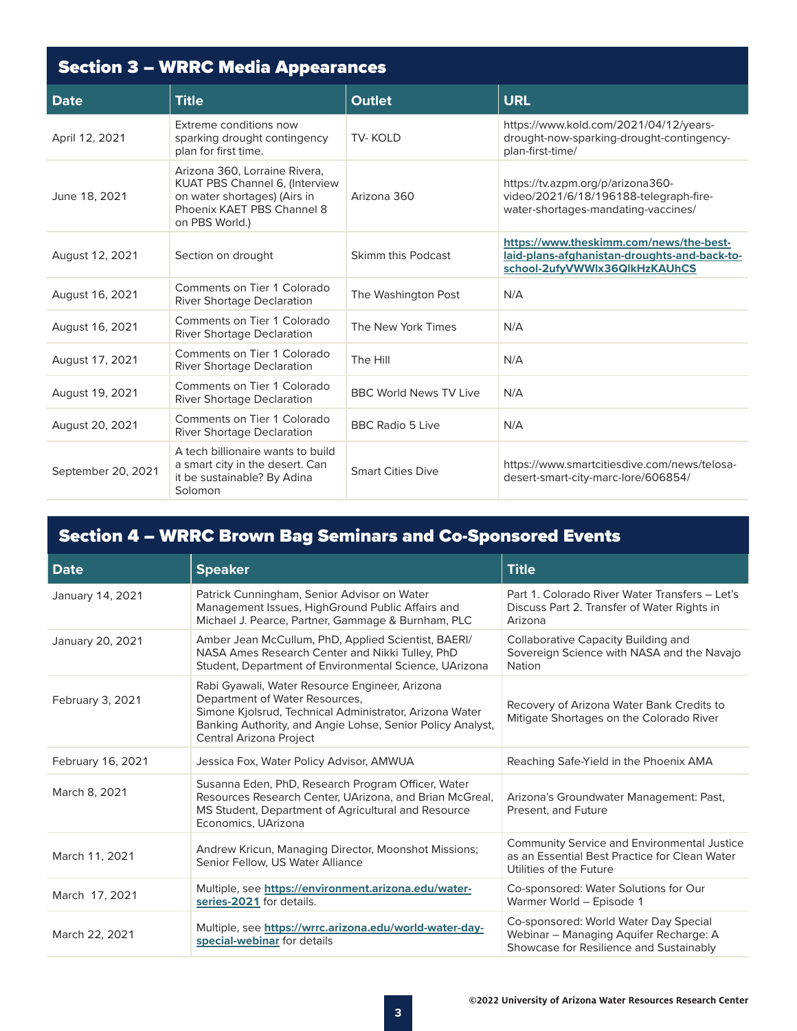| <b>Section 3 - WRRC Media Appearances</b> |                                                                                                                                                 |                               |                                                                                                                          |  |
|-------------------------------------------|-------------------------------------------------------------------------------------------------------------------------------------------------|-------------------------------|--------------------------------------------------------------------------------------------------------------------------|--|
| <b>Date</b>                               | <b>Title</b>                                                                                                                                    | <b>Outlet</b>                 | <b>URL</b>                                                                                                               |  |
| April 12, 2021                            | Extreme conditions now<br>sparking drought contingency<br>plan for first time.                                                                  | <b>TV-KOLD</b>                | https://www.kold.com/2021/04/12/years-<br>drought-now-sparking-drought-contingency-<br>plan-first-time/                  |  |
| June 18, 2021                             | Arizona 360, Lorraine Rivera,<br>KUAT PBS Channel 6, (Interview<br>on water shortages) (Airs in<br>Phoenix KAET PBS Channel 8<br>on PBS World.) | Arizona 360                   | https://tv.azpm.org/p/arizona360-<br>video/2021/6/18/196188-telegraph-fire-<br>water-shortages-mandating-vaccines/       |  |
| August 12, 2021                           | Section on drought                                                                                                                              | Skimm this Podcast            | https://www.theskimm.com/news/the-best-<br>laid-plans-afghanistan-droughts-and-back-to-<br>school-2ufyVWWlx36QlkHzKAUhCS |  |
| August 16, 2021                           | Comments on Tier 1 Colorado<br><b>River Shortage Declaration</b>                                                                                | The Washington Post           | N/A                                                                                                                      |  |
| August 16, 2021                           | Comments on Tier 1 Colorado<br><b>River Shortage Declaration</b>                                                                                | The New York Times            | N/A                                                                                                                      |  |
| August 17, 2021                           | Comments on Tier 1 Colorado<br><b>River Shortage Declaration</b>                                                                                | The Hill                      | N/A                                                                                                                      |  |
| August 19, 2021                           | Comments on Tier 1 Colorado<br><b>River Shortage Declaration</b>                                                                                | <b>BBC World News TV Live</b> | N/A                                                                                                                      |  |
| August 20, 2021                           | Comments on Tier 1 Colorado<br><b>River Shortage Declaration</b>                                                                                | <b>BBC Radio 5 Live</b>       | N/A                                                                                                                      |  |
| September 20, 2021                        | A tech billionaire wants to build<br>a smart city in the desert. Can<br>it be sustainable? By Adina<br>Solomon                                  | <b>Smart Cities Dive</b>      | https://www.smartcitiesdive.com/news/telosa-<br>desert-smart-city-marc-lore/606854/                                      |  |

## Section 4 – WRRC Brown Bag Seminars and Co-Sponsored Events

| <b>Date</b>       | <b>Speaker</b>                                                                                                                                                                                                                       | <b>Title</b>                                                                                                                   |
|-------------------|--------------------------------------------------------------------------------------------------------------------------------------------------------------------------------------------------------------------------------------|--------------------------------------------------------------------------------------------------------------------------------|
| January 14, 2021  | Patrick Cunningham, Senior Advisor on Water<br>Management Issues, HighGround Public Affairs and<br>Michael J. Pearce, Partner, Gammage & Burnham, PLC                                                                                | Part 1. Colorado River Water Transfers - Let's<br>Discuss Part 2. Transfer of Water Rights in<br>Arizona                       |
| January 20, 2021  | Amber Jean McCullum, PhD, Applied Scientist, BAERI/<br>NASA Ames Research Center and Nikki Tulley, PhD<br>Student, Department of Environmental Science, UArizona                                                                     | <b>Collaborative Capacity Building and</b><br>Sovereign Science with NASA and the Navajo<br>Nation                             |
| February 3, 2021  | Rabi Gyawali, Water Resource Engineer, Arizona<br>Department of Water Resources,<br>Simone Kjolsrud, Technical Administrator, Arizona Water<br>Banking Authority, and Angie Lohse, Senior Policy Analyst,<br>Central Arizona Project | Recovery of Arizona Water Bank Credits to<br>Mitigate Shortages on the Colorado River                                          |
| February 16, 2021 | Jessica Fox, Water Policy Advisor, AMWUA                                                                                                                                                                                             | Reaching Safe-Yield in the Phoenix AMA                                                                                         |
| March 8, 2021     | Susanna Eden, PhD, Research Program Officer, Water<br>Resources Research Center, UArizona, and Brian McGreal,<br>MS Student, Department of Agricultural and Resource<br>Economics, UArizona                                          | Arizona's Groundwater Management: Past,<br>Present, and Future                                                                 |
| March 11, 2021    | Andrew Kricun, Managing Director, Moonshot Missions;<br>Senior Fellow, US Water Alliance                                                                                                                                             | <b>Community Service and Environmental Justice</b><br>as an Essential Best Practice for Clean Water<br>Utilities of the Future |
| March 17, 2021    | Multiple, see https://environment.arizona.edu/water-<br>series-2021 for details.                                                                                                                                                     | Co-sponsored: Water Solutions for Our<br>Warmer World - Episode 1                                                              |
| March 22, 2021    | Multiple, see https://wrrc.arizona.edu/world-water-day-<br>special-webinar for details                                                                                                                                               | Co-sponsored: World Water Day Special<br>Webinar - Managing Aquifer Recharge: A<br>Showcase for Resilience and Sustainably     |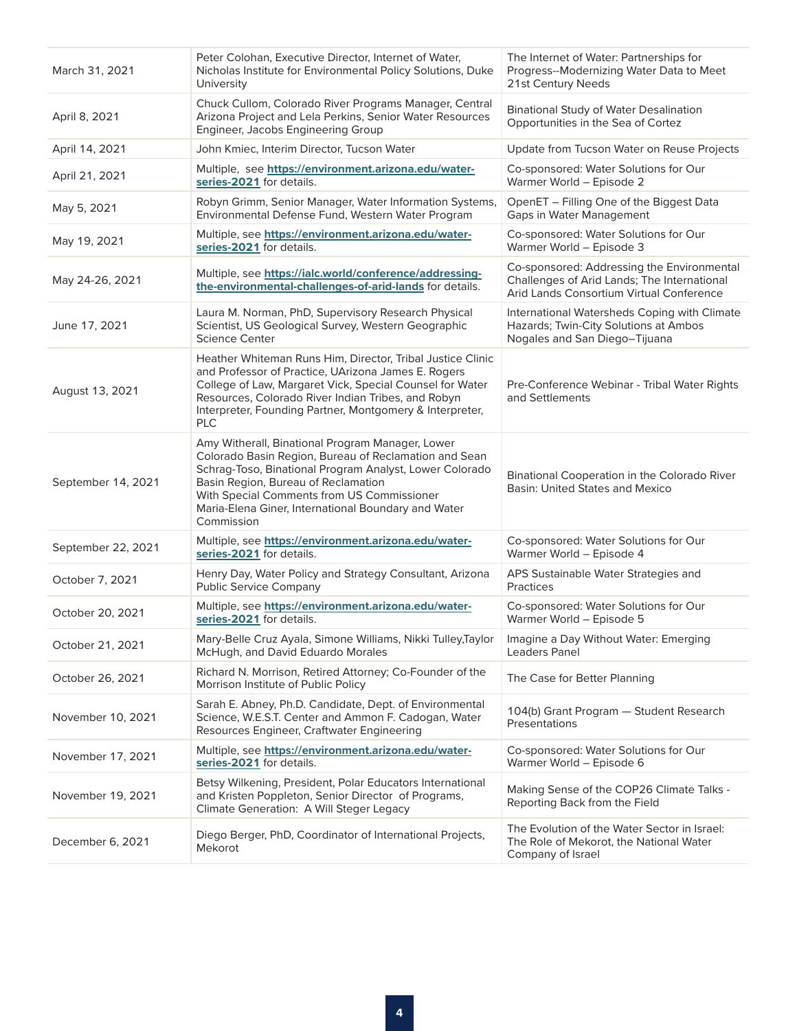| March 31, 2021     | Peter Colohan, Executive Director, Internet of Water,<br>Nicholas Institute for Environmental Policy Solutions, Duke<br>University                                                                                                                                                                                             | The Internet of Water: Partnerships for<br>Progress--Modernizing Water Data to Meet<br>21st Century Needs                             |
|--------------------|--------------------------------------------------------------------------------------------------------------------------------------------------------------------------------------------------------------------------------------------------------------------------------------------------------------------------------|---------------------------------------------------------------------------------------------------------------------------------------|
| April 8, 2021      | Chuck Cullom, Colorado River Programs Manager, Central<br>Arizona Project and Lela Perkins, Senior Water Resources<br>Engineer, Jacobs Engineering Group                                                                                                                                                                       | <b>Binational Study of Water Desalination</b><br>Opportunities in the Sea of Cortez                                                   |
| April 14, 2021     | John Kmiec, Interim Director, Tucson Water                                                                                                                                                                                                                                                                                     | Update from Tucson Water on Reuse Projects                                                                                            |
| April 21, 2021     | Multiple, see https://environment.arizona.edu/water-<br>series-2021 for details.                                                                                                                                                                                                                                               | Co-sponsored: Water Solutions for Our<br>Warmer World - Episode 2                                                                     |
| May 5, 2021        | Robyn Grimm, Senior Manager, Water Information Systems,<br>Environmental Defense Fund, Western Water Program                                                                                                                                                                                                                   | OpenET - Filling One of the Biggest Data<br>Gaps in Water Management                                                                  |
| May 19, 2021       | Multiple, see https://environment.arizona.edu/water-<br>series-2021 for details.                                                                                                                                                                                                                                               | Co-sponsored: Water Solutions for Our<br>Warmer World - Episode 3                                                                     |
| May 24-26, 2021    | Multiple, see https://ialc.world/conference/addressing-<br>the-environmental-challenges-of-arid-lands for details.                                                                                                                                                                                                             | Co-sponsored: Addressing the Environmental<br>Challenges of Arid Lands; The International<br>Arid Lands Consortium Virtual Conference |
| June 17, 2021      | Laura M. Norman, PhD, Supervisory Research Physical<br>Scientist, US Geological Survey, Western Geographic<br><b>Science Center</b>                                                                                                                                                                                            | International Watersheds Coping with Climate<br>Hazards; Twin-City Solutions at Ambos<br>Nogales and San Diego-Tijuana                |
| August 13, 2021    | Heather Whiteman Runs Him, Director, Tribal Justice Clinic<br>and Professor of Practice, UArizona James E. Rogers<br>College of Law, Margaret Vick, Special Counsel for Water<br>Resources, Colorado River Indian Tribes, and Robyn<br>Interpreter, Founding Partner, Montgomery & Interpreter,<br>PLC                         | Pre-Conference Webinar - Tribal Water Rights<br>and Settlements                                                                       |
| September 14, 2021 | Amy Witherall, Binational Program Manager, Lower<br>Colorado Basin Region, Bureau of Reclamation and Sean<br>Schrag-Toso, Binational Program Analyst, Lower Colorado<br>Basin Region, Bureau of Reclamation<br>With Special Comments from US Commissioner<br>Maria-Elena Giner, International Boundary and Water<br>Commission | Binational Cooperation in the Colorado River<br><b>Basin: United States and Mexico</b>                                                |
| September 22, 2021 | Multiple, see https://environment.arizona.edu/water-<br>series-2021 for details.                                                                                                                                                                                                                                               | Co-sponsored: Water Solutions for Our<br>Warmer World - Episode 4                                                                     |
| October 7, 2021    | Henry Day, Water Policy and Strategy Consultant, Arizona<br><b>Public Service Company</b>                                                                                                                                                                                                                                      | APS Sustainable Water Strategies and<br><b>Practices</b>                                                                              |
| October 20, 2021   | Multiple, see https://environment.arizona.edu/water-<br>series-2021 for details.                                                                                                                                                                                                                                               | Co-sponsored: Water Solutions for Our<br>Warmer World - Episode 5                                                                     |
| October 21, 2021   | Mary-Belle Cruz Ayala, Simone Williams, Nikki Tulley, Taylor<br>McHugh, and David Eduardo Morales                                                                                                                                                                                                                              | Imagine a Day Without Water: Emerging<br>Leaders Panel                                                                                |
| October 26, 2021   | Richard N. Morrison, Retired Attorney; Co-Founder of the<br>Morrison Institute of Public Policy                                                                                                                                                                                                                                | The Case for Better Planning                                                                                                          |
| November 10, 2021  | Sarah E. Abney, Ph.D. Candidate, Dept. of Environmental<br>Science, W.E.S.T. Center and Ammon F. Cadogan, Water<br>Resources Engineer, Craftwater Engineering                                                                                                                                                                  | 104(b) Grant Program - Student Research<br><b>Presentations</b>                                                                       |
| November 17, 2021  | Multiple, see https://environment.arizona.edu/water-<br>series-2021 for details.                                                                                                                                                                                                                                               | Co-sponsored: Water Solutions for Our<br>Warmer World - Episode 6                                                                     |
| November 19, 2021  | Betsy Wilkening, President, Polar Educators International<br>and Kristen Poppleton, Senior Director of Programs,<br>Climate Generation: A Will Steger Legacy                                                                                                                                                                   | Making Sense of the COP26 Climate Talks -<br>Reporting Back from the Field                                                            |
| December 6, 2021   | Diego Berger, PhD, Coordinator of International Projects,<br>Mekorot                                                                                                                                                                                                                                                           | The Evolution of the Water Sector in Israel:<br>The Role of Mekorot, the National Water<br>Company of Israel                          |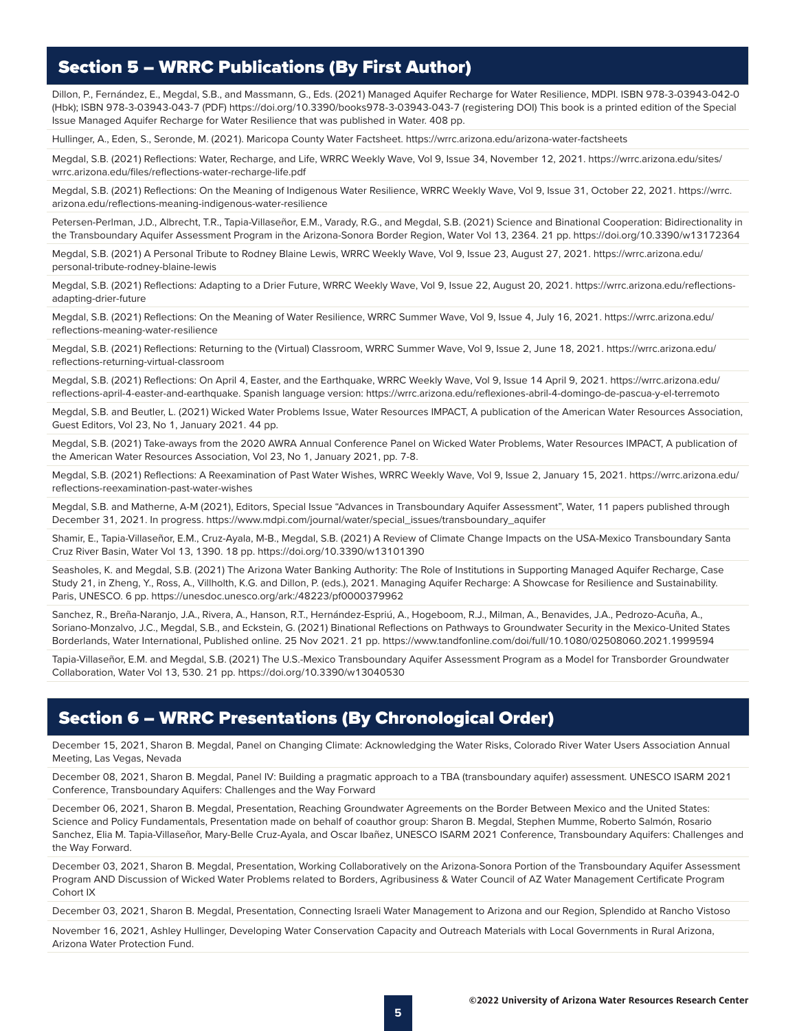### Section 5 – WRRC Publications (By First Author)

Dillon, P., Fernández, E., Megdal, S.B., and Massmann, G., Eds. (2021) Managed Aquifer Recharge for Water Resilience, MDPI. ISBN 978-3-03943-042-0 (Hbk); ISBN 978-3-03943-043-7 (PDF) https://doi.org/10.3390/books978-3-03943-043-7 (registering DOI) This book is a printed edition of the Special Issue Managed Aquifer Recharge for Water Resilience that was published in Water. 408 pp.

Hullinger, A., Eden, S., Seronde, M. (2021). Maricopa County Water Factsheet. https://wrrc.arizona.edu/arizona-water-factsheets

Megdal, S.B. (2021) Reflections: Water, Recharge, and Life, WRRC Weekly Wave, Vol 9, Issue 34, November 12, 2021. https://wrrc.arizona.edu/sites/ wrrc.arizona.edu/files/reflections-water-recharge-life.pdf

Megdal, S.B. (2021) Reflections: On the Meaning of Indigenous Water Resilience, WRRC Weekly Wave, Vol 9, Issue 31, October 22, 2021. https://wrrc. arizona.edu/reflections-meaning-indigenous-water-resilience

Petersen-Perlman, J.D., Albrecht, T.R., Tapia-Villaseñor, E.M., Varady, R.G., and Megdal, S.B. (2021) Science and Binational Cooperation: Bidirectionality in the Transboundary Aquifer Assessment Program in the Arizona-Sonora Border Region, Water Vol 13, 2364. 21 pp. https://doi.org/10.3390/w13172364

Megdal, S.B. (2021) A Personal Tribute to Rodney Blaine Lewis, WRRC Weekly Wave, Vol 9, Issue 23, August 27, 2021. https://wrrc.arizona.edu/ personal-tribute-rodney-blaine-lewis

Megdal, S.B. (2021) Reflections: Adapting to a Drier Future, WRRC Weekly Wave, Vol 9, Issue 22, August 20, 2021. https://wrrc.arizona.edu/reflectionsadapting-drier-future

Megdal, S.B. (2021) Reflections: On the Meaning of Water Resilience, WRRC Summer Wave, Vol 9, Issue 4, July 16, 2021. https://wrrc.arizona.edu/ reflections-meaning-water-resilience

Megdal, S.B. (2021) Reflections: Returning to the (Virtual) Classroom, WRRC Summer Wave, Vol 9, Issue 2, June 18, 2021. https://wrrc.arizona.edu/ reflections-returning-virtual-classroom

Megdal, S.B. (2021) Reflections: On April 4, Easter, and the Earthquake, WRRC Weekly Wave, Vol 9, Issue 14 April 9, 2021. https://wrrc.arizona.edu/ reflections-april-4-easter-and-earthquake. Spanish language version: https://wrrc.arizona.edu/reflexiones-abril-4-domingo-de-pascua-y-el-terremoto

Megdal, S.B. and Beutler, L. (2021) Wicked Water Problems Issue, Water Resources IMPACT, A publication of the American Water Resources Association, Guest Editors, Vol 23, No 1, January 2021. 44 pp.

Megdal, S.B. (2021) Take-aways from the 2020 AWRA Annual Conference Panel on Wicked Water Problems, Water Resources IMPACT, A publication of the American Water Resources Association, Vol 23, No 1, January 2021, pp. 7-8.

Megdal, S.B. (2021) Reflections: A Reexamination of Past Water Wishes, WRRC Weekly Wave, Vol 9, Issue 2, January 15, 2021. https://wrrc.arizona.edu/ reflections-reexamination-past-water-wishes

Megdal, S.B. and Matherne, A-M (2021), Editors, Special Issue "Advances in Transboundary Aquifer Assessment", Water, 11 papers published through December 31, 2021. In progress. https://www.mdpi.com/journal/water/special\_issues/transboundary\_aquifer

Shamir, E., Tapia-Villaseñor, E.M., Cruz-Ayala, M-B., Megdal, S.B. (2021) A Review of Climate Change Impacts on the USA-Mexico Transboundary Santa Cruz River Basin, Water Vol 13, 1390. 18 pp. https://doi.org/10.3390/w13101390

Seasholes, K. and Megdal, S.B. (2021) The Arizona Water Banking Authority: The Role of Institutions in Supporting Managed Aquifer Recharge, Case Study 21, in Zheng, Y., Ross, A., Villholth, K.G. and Dillon, P. (eds.), 2021. Managing Aquifer Recharge: A Showcase for Resilience and Sustainability. Paris, UNESCO. 6 pp. https://unesdoc.unesco.org/ark:/48223/pf0000379962

Sanchez, R., Breña-Naranjo, J.A., Rivera, A., Hanson, R.T., Hernández-Espriú, A., Hogeboom, R.J., Milman, A., Benavides, J.A., Pedrozo-Acuña, A., Soriano-Monzalvo, J.C., Megdal, S.B., and Eckstein, G. (2021) Binational Reflections on Pathways to Groundwater Security in the Mexico-United States Borderlands, Water International, Published online. 25 Nov 2021. 21 pp. https://www.tandfonline.com/doi/full/10.1080/02508060.2021.1999594

Tapia-Villaseñor, E.M. and Megdal, S.B. (2021) The U.S.-Mexico Transboundary Aquifer Assessment Program as a Model for Transborder Groundwater Collaboration, Water Vol 13, 530. 21 pp. https://doi.org/10.3390/w13040530

### Section 6 – WRRC Presentations (By Chronological Order)

December 15, 2021, Sharon B. Megdal, Panel on Changing Climate: Acknowledging the Water Risks, Colorado River Water Users Association Annual Meeting, Las Vegas, Nevada

December 08, 2021, Sharon B. Megdal, Panel IV: Building a pragmatic approach to a TBA (transboundary aquifer) assessment. UNESCO ISARM 2021 Conference, Transboundary Aquifers: Challenges and the Way Forward

December 06, 2021, Sharon B. Megdal, Presentation, Reaching Groundwater Agreements on the Border Between Mexico and the United States: Science and Policy Fundamentals, Presentation made on behalf of coauthor group: Sharon B. Megdal, Stephen Mumme, Roberto Salmón, Rosario Sanchez, Elia M. Tapia-Villaseñor, Mary-Belle Cruz-Ayala, and Oscar Ibañez, UNESCO ISARM 2021 Conference, Transboundary Aquifers: Challenges and the Way Forward.

December 03, 2021, Sharon B. Megdal, Presentation, Working Collaboratively on the Arizona-Sonora Portion of the Transboundary Aquifer Assessment Program AND Discussion of Wicked Water Problems related to Borders, Agribusiness & Water Council of AZ Water Management Certificate Program Cohort IX

December 03, 2021, Sharon B. Megdal, Presentation, Connecting Israeli Water Management to Arizona and our Region, Splendido at Rancho Vistoso

November 16, 2021, Ashley Hullinger, Developing Water Conservation Capacity and Outreach Materials with Local Governments in Rural Arizona, Arizona Water Protection Fund.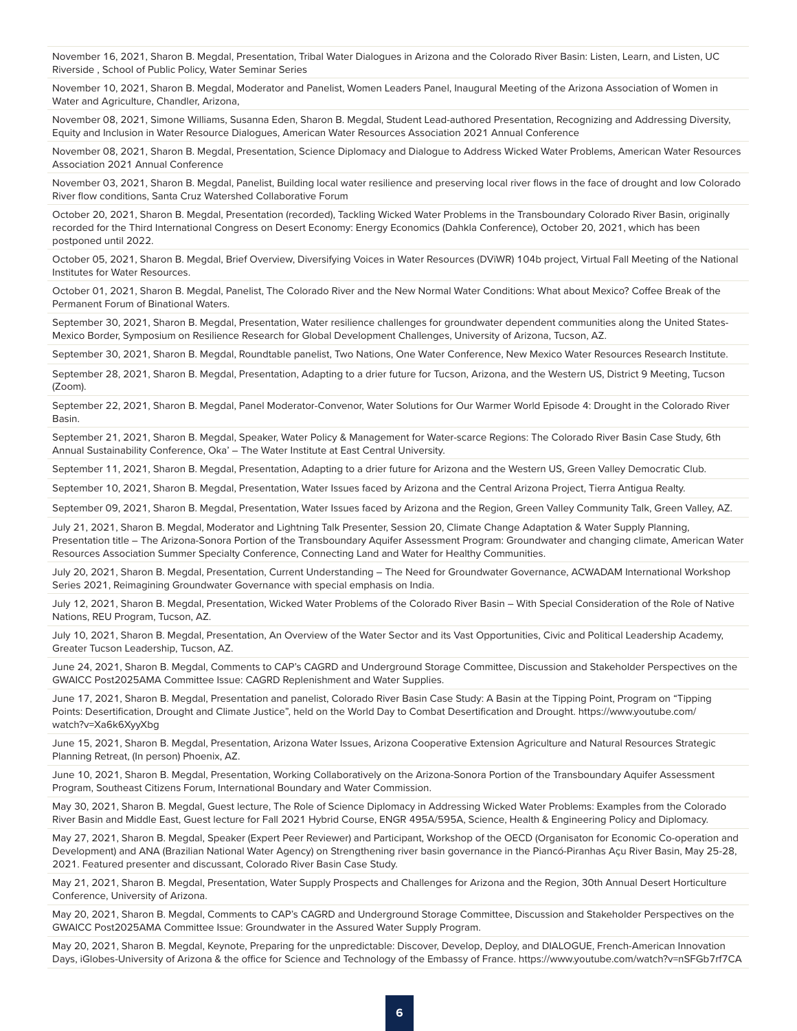November 16, 2021, Sharon B. Megdal, Presentation, Tribal Water Dialogues in Arizona and the Colorado River Basin: Listen, Learn, and Listen, UC Riverside , School of Public Policy, Water Seminar Series

November 10, 2021, Sharon B. Megdal, Moderator and Panelist, Women Leaders Panel, Inaugural Meeting of the Arizona Association of Women in Water and Agriculture, Chandler, Arizona,

November 08, 2021, Simone Williams, Susanna Eden, Sharon B. Megdal, Student Lead-authored Presentation, Recognizing and Addressing Diversity, Equity and Inclusion in Water Resource Dialogues, American Water Resources Association 2021 Annual Conference

November 08, 2021, Sharon B. Megdal, Presentation, Science Diplomacy and Dialogue to Address Wicked Water Problems, American Water Resources Association 2021 Annual Conference

November 03, 2021, Sharon B. Megdal, Panelist, Building local water resilience and preserving local river flows in the face of drought and low Colorado River flow conditions, Santa Cruz Watershed Collaborative Forum

October 20, 2021, Sharon B. Megdal, Presentation (recorded), Tackling Wicked Water Problems in the Transboundary Colorado River Basin, originally recorded for the Third International Congress on Desert Economy: Energy Economics (Dahkla Conference), October 20, 2021, which has been postponed until 2022.

October 05, 2021, Sharon B. Megdal, Brief Overview, Diversifying Voices in Water Resources (DViWR) 104b project, Virtual Fall Meeting of the National Institutes for Water Resources.

October 01, 2021, Sharon B. Megdal, Panelist, The Colorado River and the New Normal Water Conditions: What about Mexico? Coffee Break of the Permanent Forum of Binational Waters.

September 30, 2021, Sharon B. Megdal, Presentation, Water resilience challenges for groundwater dependent communities along the United States-Mexico Border, Symposium on Resilience Research for Global Development Challenges, University of Arizona, Tucson, AZ.

September 30, 2021, Sharon B. Megdal, Roundtable panelist, Two Nations, One Water Conference, New Mexico Water Resources Research Institute.

September 28, 2021, Sharon B. Megdal, Presentation, Adapting to a drier future for Tucson, Arizona, and the Western US, District 9 Meeting, Tucson (Zoom).

September 22, 2021, Sharon B. Megdal, Panel Moderator-Convenor, Water Solutions for Our Warmer World Episode 4: Drought in the Colorado River Basin.

September 21, 2021, Sharon B. Megdal, Speaker, Water Policy & Management for Water-scarce Regions: The Colorado River Basin Case Study, 6th Annual Sustainability Conference, Oka' – The Water Institute at East Central University.

September 11, 2021, Sharon B. Megdal, Presentation, Adapting to a drier future for Arizona and the Western US, Green Valley Democratic Club.

September 10, 2021, Sharon B. Megdal, Presentation, Water Issues faced by Arizona and the Central Arizona Project, Tierra Antigua Realty.

September 09, 2021, Sharon B. Megdal, Presentation, Water Issues faced by Arizona and the Region, Green Valley Community Talk, Green Valley, AZ.

July 21, 2021, Sharon B. Megdal, Moderator and Lightning Talk Presenter, Session 20, Climate Change Adaptation & Water Supply Planning, Presentation title – The Arizona-Sonora Portion of the Transboundary Aquifer Assessment Program: Groundwater and changing climate, American Water Resources Association Summer Specialty Conference, Connecting Land and Water for Healthy Communities.

July 20, 2021, Sharon B. Megdal, Presentation, Current Understanding – The Need for Groundwater Governance, ACWADAM International Workshop Series 2021, Reimagining Groundwater Governance with special emphasis on India.

July 12, 2021, Sharon B. Megdal, Presentation, Wicked Water Problems of the Colorado River Basin – With Special Consideration of the Role of Native Nations, REU Program, Tucson, AZ.

July 10, 2021, Sharon B. Megdal, Presentation, An Overview of the Water Sector and its Vast Opportunities, Civic and Political Leadership Academy, Greater Tucson Leadership, Tucson, AZ.

June 24, 2021, Sharon B. Megdal, Comments to CAP's CAGRD and Underground Storage Committee, Discussion and Stakeholder Perspectives on the GWAICC Post2025AMA Committee Issue: CAGRD Replenishment and Water Supplies.

June 17, 2021, Sharon B. Megdal, Presentation and panelist, Colorado River Basin Case Study: A Basin at the Tipping Point, Program on "Tipping Points: Desertification, Drought and Climate Justice", held on the World Day to Combat Desertification and Drought. https://www.youtube.com/ watch?v=Xa6k6XyyXbg

June 15, 2021, Sharon B. Megdal, Presentation, Arizona Water Issues, Arizona Cooperative Extension Agriculture and Natural Resources Strategic Planning Retreat, (In person) Phoenix, AZ.

June 10, 2021, Sharon B. Megdal, Presentation, Working Collaboratively on the Arizona-Sonora Portion of the Transboundary Aquifer Assessment Program, Southeast Citizens Forum, International Boundary and Water Commission.

May 30, 2021, Sharon B. Megdal, Guest lecture, The Role of Science Diplomacy in Addressing Wicked Water Problems: Examples from the Colorado River Basin and Middle East, Guest lecture for Fall 2021 Hybrid Course, ENGR 495A/595A, Science, Health & Engineering Policy and Diplomacy.

May 27, 2021, Sharon B. Megdal, Speaker (Expert Peer Reviewer) and Participant, Workshop of the OECD (Organisaton for Economic Co-operation and Development) and ANA (Brazilian National Water Agency) on Strengthening river basin governance in the Piancó-Piranhas Açu River Basin, May 25-28, 2021. Featured presenter and discussant, Colorado River Basin Case Study.

May 21, 2021, Sharon B. Megdal, Presentation, Water Supply Prospects and Challenges for Arizona and the Region, 30th Annual Desert Horticulture Conference, University of Arizona.

May 20, 2021, Sharon B. Megdal, Comments to CAP's CAGRD and Underground Storage Committee, Discussion and Stakeholder Perspectives on the GWAICC Post2025AMA Committee Issue: Groundwater in the Assured Water Supply Program.

May 20, 2021, Sharon B. Megdal, Keynote, Preparing for the unpredictable: Discover, Develop, Deploy, and DIALOGUE, French-American Innovation Days, iGlobes-University of Arizona & the office for Science and Technology of the Embassy of France. https://www.youtube.com/watch?v=nSFGb7rf7CA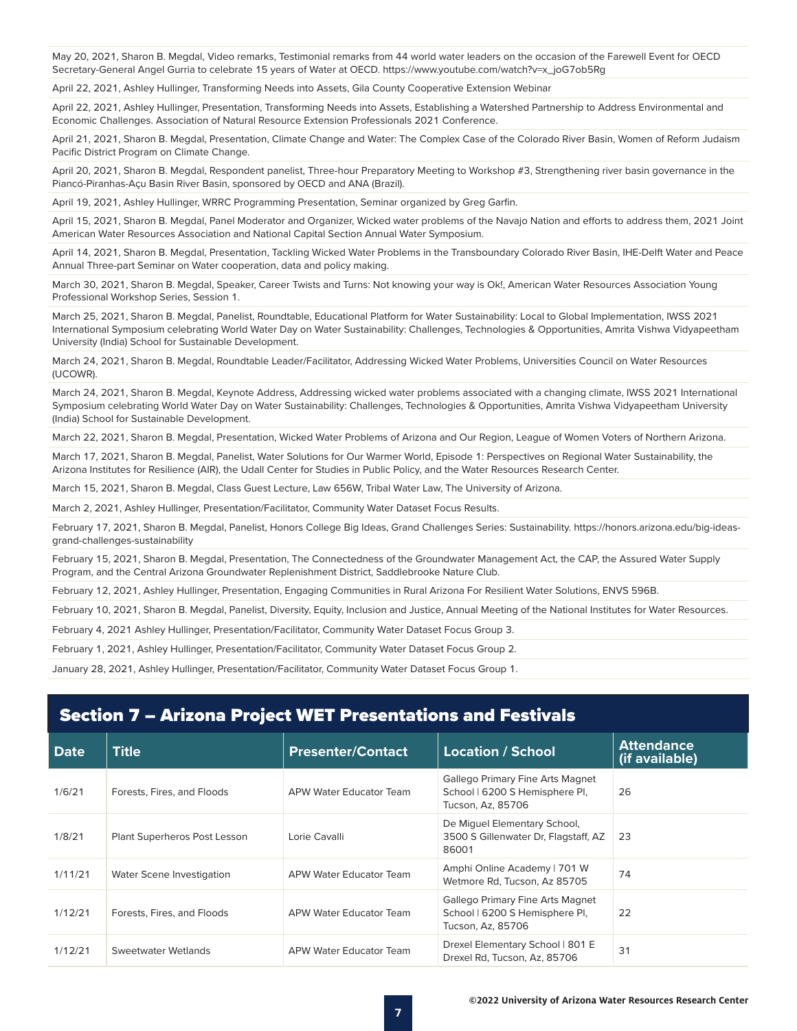May 20, 2021, Sharon B. Megdal, Video remarks, Testimonial remarks from 44 world water leaders on the occasion of the Farewell Event for OECD Secretary-General Angel Gurria to celebrate 15 years of Water at OECD. https://www.youtube.com/watch?v=x\_joG7ob5Rg

April 22, 2021, Ashley Hullinger, Transforming Needs into Assets, Gila County Cooperative Extension Webinar

April 22, 2021, Ashley Hullinger, Presentation, Transforming Needs into Assets, Establishing a Watershed Partnership to Address Environmental and Economic Challenges. Association of Natural Resource Extension Professionals 2021 Conference.

April 21, 2021, Sharon B. Megdal, Presentation, Climate Change and Water: The Complex Case of the Colorado River Basin, Women of Reform Judaism Pacific District Program on Climate Change.

April 20, 2021, Sharon B. Megdal, Respondent panelist, Three-hour Preparatory Meeting to Workshop #3, Strengthening river basin governance in the Piancó-Piranhas-Açu Basin River Basin, sponsored by OECD and ANA (Brazil).

April 19, 2021, Ashley Hullinger, WRRC Programming Presentation, Seminar organized by Greg Garfin.

April 15, 2021, Sharon B. Megdal, Panel Moderator and Organizer, Wicked water problems of the Navajo Nation and efforts to address them, 2021 Joint American Water Resources Association and National Capital Section Annual Water Symposium.

April 14, 2021, Sharon B. Megdal, Presentation, Tackling Wicked Water Problems in the Transboundary Colorado River Basin, IHE-Delft Water and Peace Annual Three-part Seminar on Water cooperation, data and policy making.

March 30, 2021, Sharon B. Megdal, Speaker, Career Twists and Turns: Not knowing your way is Ok!, American Water Resources Association Young Professional Workshop Series, Session 1.

March 25, 2021, Sharon B. Megdal, Panelist, Roundtable, Educational Platform for Water Sustainability: Local to Global Implementation, IWSS 2021 International Symposium celebrating World Water Day on Water Sustainability: Challenges, Technologies & Opportunities, Amrita Vishwa Vidyapeetham University (India) School for Sustainable Development.

March 24, 2021, Sharon B. Megdal, Roundtable Leader/Facilitator, Addressing Wicked Water Problems, Universities Council on Water Resources (UCOWR).

March 24, 2021, Sharon B. Megdal, Keynote Address, Addressing wicked water problems associated with a changing climate, IWSS 2021 International Symposium celebrating World Water Day on Water Sustainability: Challenges, Technologies & Opportunities, Amrita Vishwa Vidyapeetham University (India) School for Sustainable Development.

March 22, 2021, Sharon B. Megdal, Presentation, Wicked Water Problems of Arizona and Our Region, League of Women Voters of Northern Arizona.

March 17, 2021, Sharon B. Megdal, Panelist, Water Solutions for Our Warmer World, Episode 1: Perspectives on Regional Water Sustainability, the Arizona Institutes for Resilience (AIR), the Udall Center for Studies in Public Policy, and the Water Resources Research Center.

March 15, 2021, Sharon B. Megdal, Class Guest Lecture, Law 656W, Tribal Water Law, The University of Arizona.

March 2, 2021, Ashley Hullinger, Presentation/Facilitator, Community Water Dataset Focus Results.

February 17, 2021, Sharon B. Megdal, Panelist, Honors College Big Ideas, Grand Challenges Series: Sustainability. https://honors.arizona.edu/big-ideasgrand-challenges-sustainability

February 15, 2021, Sharon B. Megdal, Presentation, The Connectedness of the Groundwater Management Act, the CAP, the Assured Water Supply Program, and the Central Arizona Groundwater Replenishment District, Saddlebrooke Nature Club.

February 12, 2021, Ashley Hullinger, Presentation, Engaging Communities in Rural Arizona For Resilient Water Solutions, ENVS 596B.

February 10, 2021, Sharon B. Megdal, Panelist, Diversity, Equity, Inclusion and Justice, Annual Meeting of the National Institutes for Water Resources.

February 4, 2021 Ashley Hullinger, Presentation/Facilitator, Community Water Dataset Focus Group 3.

February 1, 2021, Ashley Hullinger, Presentation/Facilitator, Community Water Dataset Focus Group 2.

January 28, 2021, Ashley Hullinger, Presentation/Facilitator, Community Water Dataset Focus Group 1.

#### Section 7 – Arizona Project WET Presentations and Festivals

|             |                              |                          |                                                                                         | <b>Attendance</b> |
|-------------|------------------------------|--------------------------|-----------------------------------------------------------------------------------------|-------------------|
| <b>Date</b> | <b>Title</b>                 | <b>Presenter/Contact</b> | <b>Location / School</b>                                                                | (if available)    |
| 1/6/21      | Forests, Fires, and Floods   | APW Water Educator Team  | Gallego Primary Fine Arts Magnet<br>School   6200 S Hemisphere PI,<br>Tucson, Az, 85706 | 26                |
| 1/8/21      | Plant Superheros Post Lesson | Lorie Cavalli            | De Miquel Elementary School,<br>3500 S Gillenwater Dr, Flagstaff, AZ<br>86001           | 23                |
| 1/11/21     | Water Scene Investigation    | APW Water Educator Team  | Amphi Online Academy   701 W<br>Wetmore Rd, Tucson, Az 85705                            | 74                |
| 1/12/21     | Forests, Fires, and Floods   | APW Water Educator Team  | Gallego Primary Fine Arts Magnet<br>School   6200 S Hemisphere PI,<br>Tucson, Az, 85706 | 22                |
| 1/12/21     | Sweetwater Wetlands          | APW Water Educator Team  | Drexel Elementary School   801 E<br>Drexel Rd. Tucson, Az. 85706                        | 31                |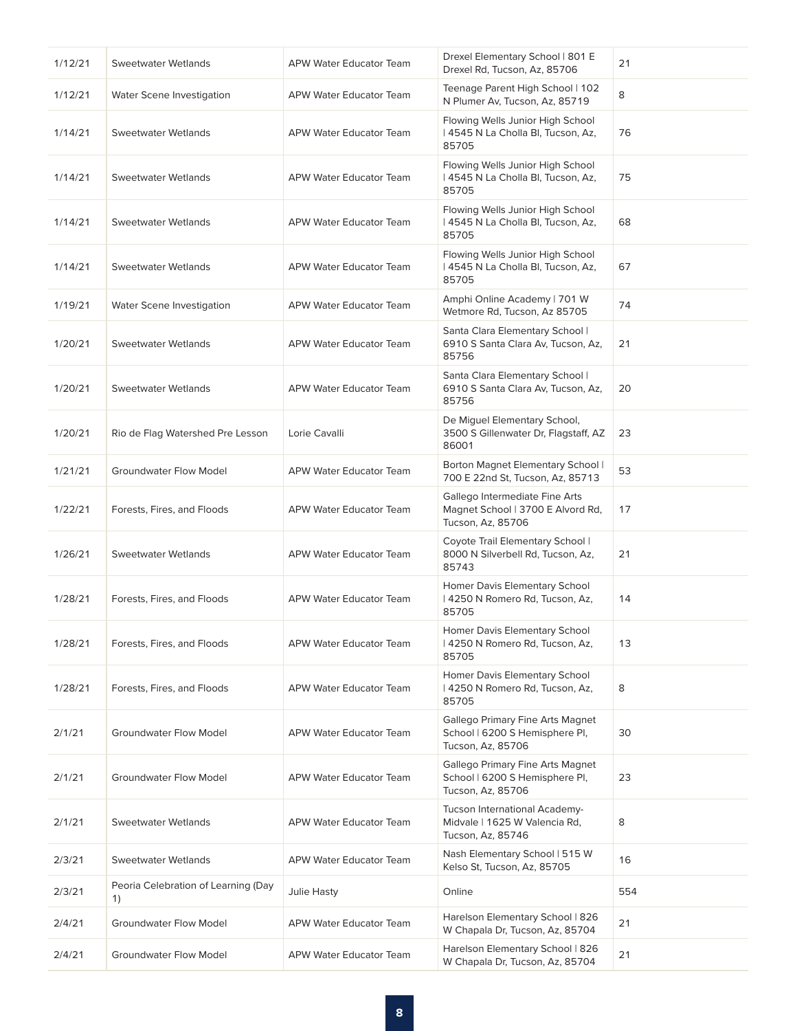| 1/12/21 | <b>Sweetwater Wetlands</b>                | <b>APW Water Educator Team</b> | Drexel Elementary School   801 E<br>Drexel Rd, Tucson, Az, 85706                         | 21  |
|---------|-------------------------------------------|--------------------------------|------------------------------------------------------------------------------------------|-----|
| 1/12/21 | Water Scene Investigation                 | APW Water Educator Team        | Teenage Parent High School   102<br>N Plumer Av, Tucson, Az, 85719                       | 8   |
| 1/14/21 | <b>Sweetwater Wetlands</b>                | <b>APW Water Educator Team</b> | Flowing Wells Junior High School<br>  4545 N La Cholla Bl, Tucson, Az,<br>85705          | 76  |
| 1/14/21 | <b>Sweetwater Wetlands</b>                | APW Water Educator Team        | Flowing Wells Junior High School<br>  4545 N La Cholla Bl, Tucson, Az,<br>85705          | 75  |
| 1/14/21 | <b>Sweetwater Wetlands</b>                | <b>APW Water Educator Team</b> | Flowing Wells Junior High School<br>  4545 N La Cholla BI, Tucson, Az,<br>85705          | 68  |
| 1/14/21 | Sweetwater Wetlands                       | <b>APW Water Educator Team</b> | Flowing Wells Junior High School<br>  4545 N La Cholla BI, Tucson, Az,<br>85705          | 67  |
| 1/19/21 | Water Scene Investigation                 | APW Water Educator Team        | Amphi Online Academy   701 W<br>Wetmore Rd, Tucson, Az 85705                             | 74  |
| 1/20/21 | <b>Sweetwater Wetlands</b>                | <b>APW Water Educator Team</b> | Santa Clara Elementary School  <br>6910 S Santa Clara Av, Tucson, Az,<br>85756           | 21  |
| 1/20/21 | <b>Sweetwater Wetlands</b>                | <b>APW Water Educator Team</b> | Santa Clara Elementary School  <br>6910 S Santa Clara Av, Tucson, Az,<br>85756           | 20  |
| 1/20/21 | Rio de Flag Watershed Pre Lesson          | Lorie Cavalli                  | De Miguel Elementary School,<br>3500 S Gillenwater Dr, Flagstaff, AZ<br>86001            | 23  |
| 1/21/21 | <b>Groundwater Flow Model</b>             | <b>APW Water Educator Team</b> | Borton Magnet Elementary School  <br>700 E 22nd St, Tucson, Az, 85713                    | 53  |
| 1/22/21 | Forests, Fires, and Floods                | APW Water Educator Team        | Gallego Intermediate Fine Arts<br>Magnet School   3700 E Alvord Rd,<br>Tucson, Az, 85706 | 17  |
| 1/26/21 | <b>Sweetwater Wetlands</b>                | APW Water Educator Team        | Coyote Trail Elementary School  <br>8000 N Silverbell Rd, Tucson, Az,<br>85743           | 21  |
| 1/28/21 | Forests, Fires, and Floods                | APW Water Educator Team        | Homer Davis Elementary School<br>  4250 N Romero Rd, Tucson, Az,<br>85705                | 14  |
| 1/28/21 | Forests, Fires, and Floods                | <b>APW Water Educator Team</b> | Homer Davis Elementary School<br>  4250 N Romero Rd, Tucson, Az,<br>85705                | 13  |
| 1/28/21 | Forests, Fires, and Floods                | APW Water Educator Team        | Homer Davis Elementary School<br>  4250 N Romero Rd, Tucson, Az,<br>85705                | 8   |
| 2/1/21  | <b>Groundwater Flow Model</b>             | APW Water Educator Team        | Gallego Primary Fine Arts Magnet<br>School   6200 S Hemisphere PI,<br>Tucson, Az, 85706  | 30  |
| 2/1/21  | <b>Groundwater Flow Model</b>             | APW Water Educator Team        | Gallego Primary Fine Arts Magnet<br>School   6200 S Hemisphere PI,<br>Tucson, Az, 85706  | 23  |
| 2/1/21  | Sweetwater Wetlands                       | <b>APW Water Educator Team</b> | Tucson International Academy-<br>Midvale   1625 W Valencia Rd,<br>Tucson, Az, 85746      | 8   |
| 2/3/21  | <b>Sweetwater Wetlands</b>                | APW Water Educator Team        | Nash Elementary School   515 W<br>Kelso St, Tucson, Az, 85705                            | 16  |
| 2/3/21  | Peoria Celebration of Learning (Day<br>1) | Julie Hasty                    | Online                                                                                   | 554 |
| 2/4/21  | <b>Groundwater Flow Model</b>             | <b>APW Water Educator Team</b> | Harelson Elementary School   826<br>W Chapala Dr, Tucson, Az, 85704                      | 21  |
| 2/4/21  | <b>Groundwater Flow Model</b>             | <b>APW Water Educator Team</b> | Harelson Elementary School   826<br>W Chapala Dr, Tucson, Az, 85704                      | 21  |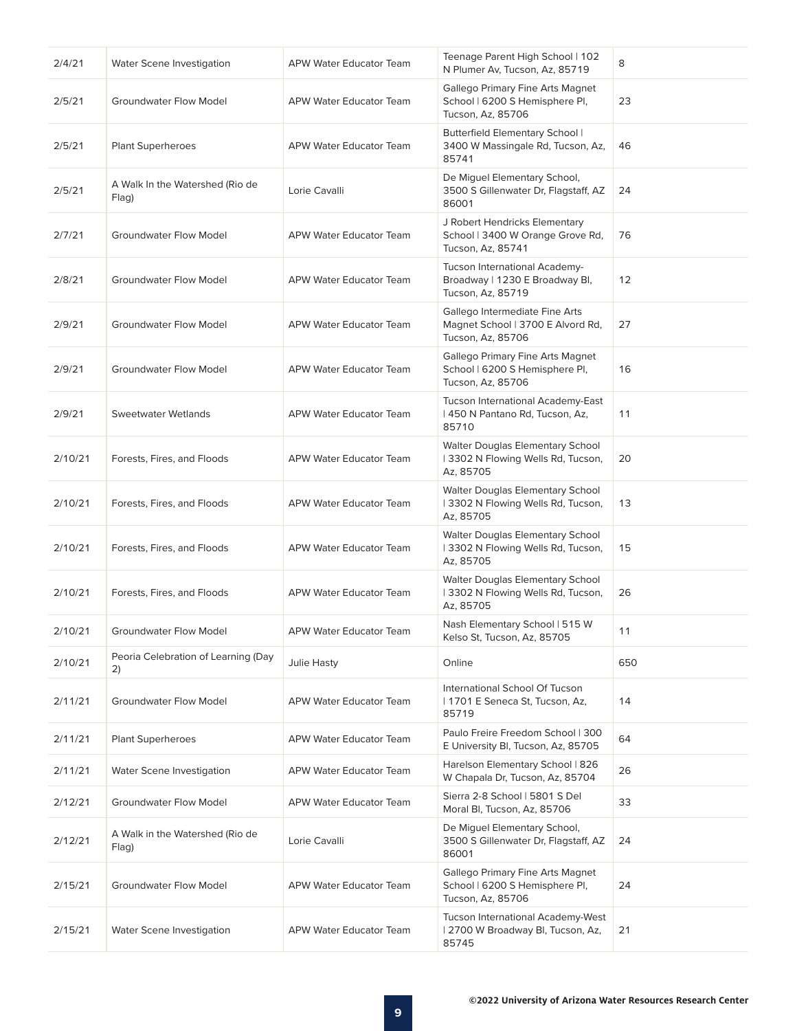| 2/4/21  | Water Scene Investigation                 | <b>APW Water Educator Team</b> | Teenage Parent High School   102<br>N Plumer Av, Tucson, Az, 85719                       | 8   |
|---------|-------------------------------------------|--------------------------------|------------------------------------------------------------------------------------------|-----|
| 2/5/21  | <b>Groundwater Flow Model</b>             | APW Water Educator Team        | Gallego Primary Fine Arts Magnet<br>School   6200 S Hemisphere PI,<br>Tucson, Az, 85706  | 23  |
| 2/5/21  | Plant Superheroes                         | APW Water Educator Team        | Butterfield Elementary School  <br>3400 W Massingale Rd, Tucson, Az,<br>85741            | 46  |
| 2/5/21  | A Walk In the Watershed (Rio de<br>Flag)  | Lorie Cavalli                  | De Miguel Elementary School,<br>3500 S Gillenwater Dr, Flagstaff, AZ<br>86001            | 24  |
| 2/7/21  | <b>Groundwater Flow Model</b>             | APW Water Educator Team        | J Robert Hendricks Elementary<br>School   3400 W Orange Grove Rd,<br>Tucson, Az, 85741   | 76  |
| 2/8/21  | <b>Groundwater Flow Model</b>             | APW Water Educator Team        | Tucson International Academy-<br>Broadway   1230 E Broadway Bl,<br>Tucson, Az, 85719     | 12  |
| 2/9/21  | <b>Groundwater Flow Model</b>             | APW Water Educator Team        | Gallego Intermediate Fine Arts<br>Magnet School   3700 E Alvord Rd,<br>Tucson, Az, 85706 | 27  |
| 2/9/21  | <b>Groundwater Flow Model</b>             | <b>APW Water Educator Team</b> | Gallego Primary Fine Arts Magnet<br>School   6200 S Hemisphere Pl,<br>Tucson, Az, 85706  | 16  |
| 2/9/21  | <b>Sweetwater Wetlands</b>                | APW Water Educator Team        | Tucson International Academy-East<br>  450 N Pantano Rd, Tucson, Az,<br>85710            | 11  |
| 2/10/21 | Forests, Fires, and Floods                | APW Water Educator Team        | Walter Douglas Elementary School<br>  3302 N Flowing Wells Rd, Tucson,<br>Az, 85705      | 20  |
| 2/10/21 | Forests, Fires, and Floods                | APW Water Educator Team        | Walter Douglas Elementary School<br>  3302 N Flowing Wells Rd, Tucson,<br>Az, 85705      | 13  |
| 2/10/21 | Forests, Fires, and Floods                | APW Water Educator Team        | Walter Douglas Elementary School<br>  3302 N Flowing Wells Rd, Tucson,<br>Az, 85705      | 15  |
| 2/10/21 | Forests, Fires, and Floods                | APW Water Educator Team        | Walter Douglas Elementary School<br>13302 N Flowing Wells Rd, Tucson,<br>Az, 85705       | 26  |
| 2/10/21 | Groundwater Flow Model                    | APW Water Educator Team        | Nash Elementary School   515 W<br>Kelso St, Tucson, Az, 85705                            | 11  |
| 2/10/21 | Peoria Celebration of Learning (Day<br>2) | Julie Hasty                    | Online                                                                                   | 650 |
| 2/11/21 | <b>Groundwater Flow Model</b>             | <b>APW Water Educator Team</b> | International School Of Tucson<br>  1701 E Seneca St, Tucson, Az,<br>85719               | 14  |
| 2/11/21 | <b>Plant Superheroes</b>                  | APW Water Educator Team        | Paulo Freire Freedom School   300<br>E University Bl, Tucson, Az, 85705                  | 64  |
| 2/11/21 | Water Scene Investigation                 | APW Water Educator Team        | Harelson Elementary School   826<br>W Chapala Dr, Tucson, Az, 85704                      | 26  |
| 2/12/21 | <b>Groundwater Flow Model</b>             | APW Water Educator Team        | Sierra 2-8 School   5801 S Del<br>Moral Bl, Tucson, Az, 85706                            | 33  |
| 2/12/21 | A Walk in the Watershed (Rio de<br>Flag)  | Lorie Cavalli                  | De Miguel Elementary School,<br>3500 S Gillenwater Dr, Flagstaff, AZ<br>86001            | 24  |
| 2/15/21 | <b>Groundwater Flow Model</b>             | APW Water Educator Team        | Gallego Primary Fine Arts Magnet<br>School   6200 S Hemisphere Pl,<br>Tucson, Az, 85706  | 24  |
| 2/15/21 | Water Scene Investigation                 | APW Water Educator Team        | Tucson International Academy-West<br>  2700 W Broadway Bl, Tucson, Az,<br>85745          | 21  |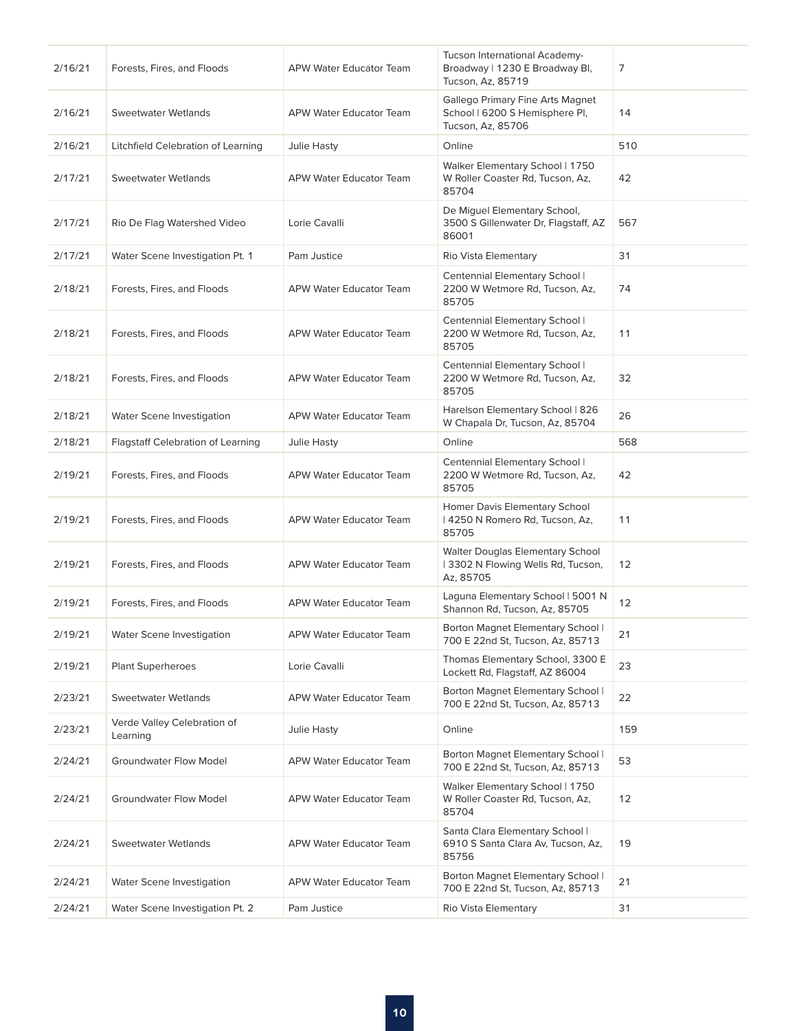| 2/16/21 | Forests, Fires, and Floods              | APW Water Educator Team        | Tucson International Academy-<br>Broadway   1230 E Broadway Bl,<br>Tucson, Az, 85719    | 7   |
|---------|-----------------------------------------|--------------------------------|-----------------------------------------------------------------------------------------|-----|
| 2/16/21 | <b>Sweetwater Wetlands</b>              | APW Water Educator Team        | Gallego Primary Fine Arts Magnet<br>School   6200 S Hemisphere Pl,<br>Tucson, Az, 85706 | 14  |
| 2/16/21 | Litchfield Celebration of Learning      | Julie Hasty                    | Online                                                                                  | 510 |
| 2/17/21 | <b>Sweetwater Wetlands</b>              | <b>APW Water Educator Team</b> | Walker Elementary School   1750<br>W Roller Coaster Rd, Tucson, Az,<br>85704            | 42  |
| 2/17/21 | Rio De Flag Watershed Video             | Lorie Cavalli                  | De Miguel Elementary School,<br>3500 S Gillenwater Dr, Flagstaff, AZ<br>86001           | 567 |
| 2/17/21 | Water Scene Investigation Pt. 1         | Pam Justice                    | Rio Vista Elementary                                                                    | 31  |
| 2/18/21 | Forests, Fires, and Floods              | <b>APW Water Educator Team</b> | Centennial Elementary School  <br>2200 W Wetmore Rd, Tucson, Az,<br>85705               | 74  |
| 2/18/21 | Forests, Fires, and Floods              | APW Water Educator Team        | Centennial Elementary School  <br>2200 W Wetmore Rd, Tucson, Az,<br>85705               | 11  |
| 2/18/21 | Forests, Fires, and Floods              | APW Water Educator Team        | Centennial Elementary School  <br>2200 W Wetmore Rd, Tucson, Az,<br>85705               | 32  |
| 2/18/21 | Water Scene Investigation               | <b>APW Water Educator Team</b> | Harelson Elementary School   826<br>W Chapala Dr, Tucson, Az, 85704                     | 26  |
| 2/18/21 | Flagstaff Celebration of Learning       | Julie Hasty                    | Online                                                                                  | 568 |
| 2/19/21 | Forests, Fires, and Floods              | <b>APW Water Educator Team</b> | Centennial Elementary School  <br>2200 W Wetmore Rd, Tucson, Az,<br>85705               | 42  |
| 2/19/21 | Forests, Fires, and Floods              | APW Water Educator Team        | Homer Davis Elementary School<br>  4250 N Romero Rd, Tucson, Az,<br>85705               | 11  |
| 2/19/21 | Forests, Fires, and Floods              | APW Water Educator Team        | Walter Douglas Elementary School<br>13302 N Flowing Wells Rd, Tucson,<br>Az, 85705      | 12  |
| 2/19/21 | Forests, Fires, and Floods              | <b>APW Water Educator Team</b> | Laguna Elementary School   5001 N<br>Shannon Rd, Tucson, Az, 85705                      | 12  |
| 2/19/21 | Water Scene Investigation               | APW Water Educator Team        | Borton Magnet Elementary School  <br>700 E 22nd St, Tucson, Az, 85713                   | 21  |
| 2/19/21 | <b>Plant Superheroes</b>                | Lorie Cavalli                  | Thomas Elementary School, 3300 E<br>Lockett Rd, Flagstaff, AZ 86004                     | 23  |
| 2/23/21 | <b>Sweetwater Wetlands</b>              | APW Water Educator Team        | Borton Magnet Elementary School  <br>700 E 22nd St, Tucson, Az, 85713                   | 22  |
| 2/23/21 | Verde Valley Celebration of<br>Learning | <b>Julie Hasty</b>             | Online                                                                                  | 159 |
| 2/24/21 | <b>Groundwater Flow Model</b>           | APW Water Educator Team        | Borton Magnet Elementary School  <br>700 E 22nd St, Tucson, Az, 85713                   | 53  |
| 2/24/21 | <b>Groundwater Flow Model</b>           | APW Water Educator Team        | Walker Elementary School   1750<br>W Roller Coaster Rd, Tucson, Az,<br>85704            | 12  |
| 2/24/21 | Sweetwater Wetlands                     | APW Water Educator Team        | Santa Clara Elementary School  <br>6910 S Santa Clara Av, Tucson, Az,<br>85756          | 19  |
| 2/24/21 | Water Scene Investigation               | APW Water Educator Team        | Borton Magnet Elementary School  <br>700 E 22nd St, Tucson, Az, 85713                   | 21  |
| 2/24/21 | Water Scene Investigation Pt. 2         | Pam Justice                    | Rio Vista Elementary                                                                    | 31  |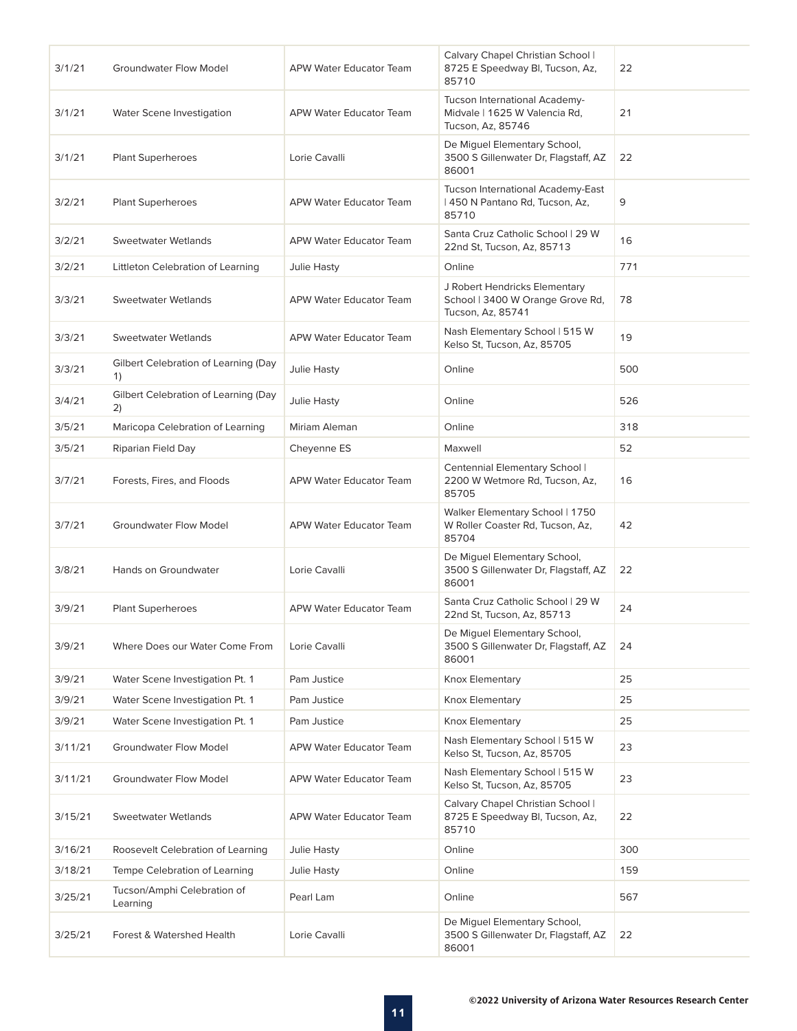| 3/1/21  | <b>Groundwater Flow Model</b>              | <b>APW Water Educator Team</b> | Calvary Chapel Christian School  <br>8725 E Speedway Bl, Tucson, Az,<br>85710          | 22  |
|---------|--------------------------------------------|--------------------------------|----------------------------------------------------------------------------------------|-----|
| 3/1/21  | Water Scene Investigation                  | <b>APW Water Educator Team</b> | Tucson International Academy-<br>Midvale   1625 W Valencia Rd,<br>Tucson, Az, 85746    | 21  |
| 3/1/21  | Plant Superheroes                          | Lorie Cavalli                  | De Miguel Elementary School,<br>3500 S Gillenwater Dr, Flagstaff, AZ<br>86001          | 22  |
| 3/2/21  | <b>Plant Superheroes</b>                   | <b>APW Water Educator Team</b> | Tucson International Academy-East<br>  450 N Pantano Rd, Tucson, Az,<br>85710          | 9   |
| 3/2/21  | <b>Sweetwater Wetlands</b>                 | APW Water Educator Team        | Santa Cruz Catholic School   29 W<br>22nd St, Tucson, Az, 85713                        | 16  |
| 3/2/21  | Littleton Celebration of Learning          | <b>Julie Hasty</b>             | Online                                                                                 | 771 |
| 3/3/21  | <b>Sweetwater Wetlands</b>                 | <b>APW Water Educator Team</b> | J Robert Hendricks Elementary<br>School   3400 W Orange Grove Rd,<br>Tucson, Az, 85741 | 78  |
| 3/3/21  | Sweetwater Wetlands                        | APW Water Educator Team        | Nash Elementary School   515 W<br>Kelso St, Tucson, Az, 85705                          | 19  |
| 3/3/21  | Gilbert Celebration of Learning (Day<br>1) | Julie Hasty                    | Online                                                                                 | 500 |
| 3/4/21  | Gilbert Celebration of Learning (Day<br>2) | Julie Hasty                    | Online                                                                                 | 526 |
| 3/5/21  | Maricopa Celebration of Learning           | Miriam Aleman                  | Online                                                                                 | 318 |
| 3/5/21  | Riparian Field Day                         | Cheyenne ES                    | Maxwell                                                                                | 52  |
| 3/7/21  | Forests, Fires, and Floods                 | <b>APW Water Educator Team</b> | Centennial Elementary School  <br>2200 W Wetmore Rd, Tucson, Az,<br>85705              | 16  |
| 3/7/21  | <b>Groundwater Flow Model</b>              | <b>APW Water Educator Team</b> | Walker Elementary School   1750<br>W Roller Coaster Rd, Tucson, Az,<br>85704           | 42  |
| 3/8/21  | <b>Hands on Groundwater</b>                | Lorie Cavalli                  | De Miguel Elementary School,<br>3500 S Gillenwater Dr, Flagstaff, AZ<br>86001          | 22  |
| 3/9/21  | <b>Plant Superheroes</b>                   | <b>APW Water Educator Team</b> | Santa Cruz Catholic School   29 W<br>22nd St, Tucson, Az, 85713                        | 24  |
| 3/9/21  | Where Does our Water Come From             | Lorie Cavalli                  | De Miguel Elementary School,<br>3500 S Gillenwater Dr, Flagstaff, AZ<br>86001          | 24  |
| 3/9/21  | Water Scene Investigation Pt. 1            | Pam Justice                    | Knox Elementary                                                                        | 25  |
| 3/9/21  | Water Scene Investigation Pt. 1            | Pam Justice                    | Knox Elementary                                                                        | 25  |
| 3/9/21  | Water Scene Investigation Pt. 1            | Pam Justice                    | Knox Elementary                                                                        | 25  |
| 3/11/21 | <b>Groundwater Flow Model</b>              | APW Water Educator Team        | Nash Elementary School   515 W<br>Kelso St, Tucson, Az, 85705                          | 23  |
| 3/11/21 | <b>Groundwater Flow Model</b>              | APW Water Educator Team        | Nash Elementary School   515 W<br>Kelso St, Tucson, Az, 85705                          | 23  |
| 3/15/21 | Sweetwater Wetlands                        | APW Water Educator Team        | Calvary Chapel Christian School  <br>8725 E Speedway Bl, Tucson, Az,<br>85710          | 22  |
| 3/16/21 | Roosevelt Celebration of Learning          | Julie Hasty                    | Online                                                                                 | 300 |
| 3/18/21 | Tempe Celebration of Learning              | Julie Hasty                    | Online                                                                                 | 159 |
| 3/25/21 | Tucson/Amphi Celebration of<br>Learning    | Pearl Lam                      | Online                                                                                 | 567 |
| 3/25/21 | Forest & Watershed Health                  | Lorie Cavalli                  | De Miguel Elementary School,<br>3500 S Gillenwater Dr, Flagstaff, AZ<br>86001          | 22  |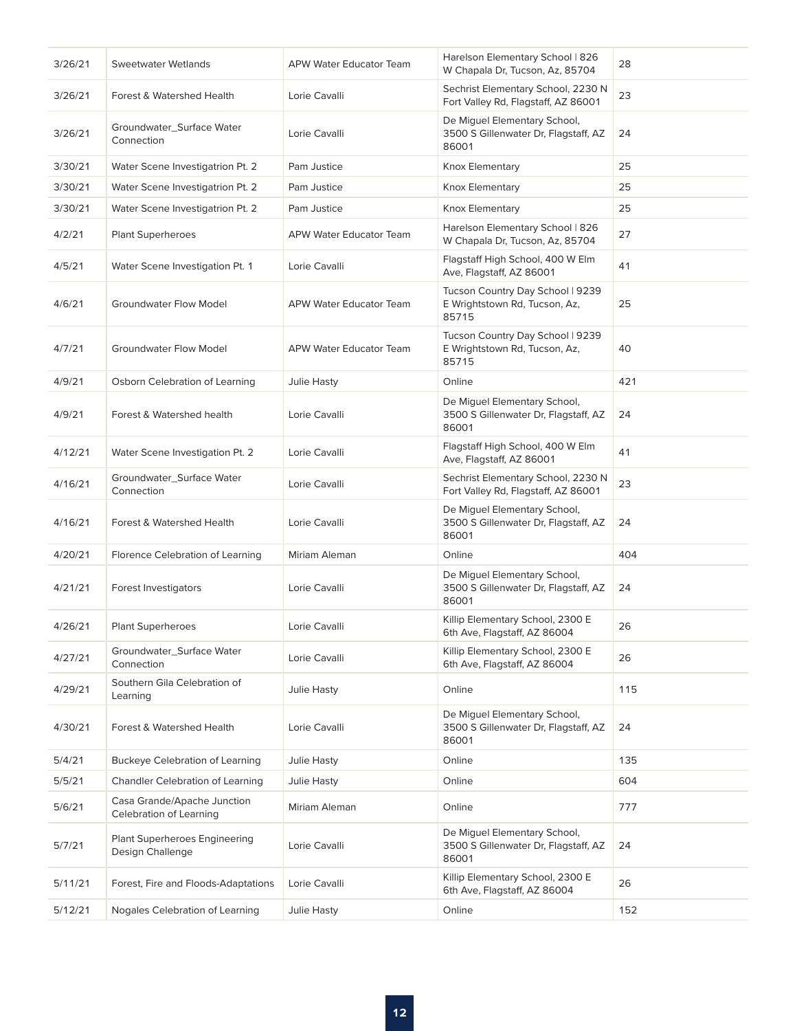| 3/26/21 | Sweetwater Wetlands                                      | APW Water Educator Team        | Harelson Elementary School   826<br>W Chapala Dr, Tucson, Az, 85704           | 28  |
|---------|----------------------------------------------------------|--------------------------------|-------------------------------------------------------------------------------|-----|
| 3/26/21 | Forest & Watershed Health                                | Lorie Cavalli                  | Sechrist Elementary School, 2230 N<br>Fort Valley Rd, Flagstaff, AZ 86001     | 23  |
| 3/26/21 | Groundwater_Surface Water<br>Connection                  | Lorie Cavalli                  | De Miquel Elementary School,<br>3500 S Gillenwater Dr, Flagstaff, AZ<br>86001 | 24  |
| 3/30/21 | Water Scene Investigatrion Pt. 2                         | Pam Justice                    | Knox Elementary                                                               | 25  |
| 3/30/21 | Water Scene Investigatrion Pt. 2                         | Pam Justice                    | Knox Elementary                                                               | 25  |
| 3/30/21 | Water Scene Investigatrion Pt. 2                         | Pam Justice                    | Knox Elementary                                                               | 25  |
| 4/2/21  | Plant Superheroes                                        | <b>APW Water Educator Team</b> | Harelson Elementary School   826<br>W Chapala Dr, Tucson, Az, 85704           | 27  |
| 4/5/21  | Water Scene Investigation Pt. 1                          | Lorie Cavalli                  | Flagstaff High School, 400 W Elm<br>Ave, Flagstaff, AZ 86001                  | 41  |
| 4/6/21  | <b>Groundwater Flow Model</b>                            | APW Water Educator Team        | Tucson Country Day School   9239<br>E Wrightstown Rd, Tucson, Az,<br>85715    | 25  |
| 4/7/21  | <b>Groundwater Flow Model</b>                            | APW Water Educator Team        | Tucson Country Day School   9239<br>E Wrightstown Rd, Tucson, Az,<br>85715    | 40  |
| 4/9/21  | Osborn Celebration of Learning                           | Julie Hasty                    | Online                                                                        | 421 |
| 4/9/21  | Forest & Watershed health                                | Lorie Cavalli                  | De Miguel Elementary School,<br>3500 S Gillenwater Dr, Flagstaff, AZ<br>86001 | 24  |
| 4/12/21 | Water Scene Investigation Pt. 2                          | Lorie Cavalli                  | Flagstaff High School, 400 W Elm<br>Ave, Flagstaff, AZ 86001                  | 41  |
| 4/16/21 | Groundwater_Surface Water<br>Connection                  | Lorie Cavalli                  | Sechrist Elementary School, 2230 N<br>Fort Valley Rd, Flagstaff, AZ 86001     | 23  |
| 4/16/21 | Forest & Watershed Health                                | Lorie Cavalli                  | De Miguel Elementary School,<br>3500 S Gillenwater Dr, Flagstaff, AZ<br>86001 | 24  |
| 4/20/21 | Florence Celebration of Learning                         | Miriam Aleman                  | Online                                                                        | 404 |
| 4/21/21 | Forest Investigators                                     | Lorie Cavalli                  | De Miguel Elementary School,<br>3500 S Gillenwater Dr, Flagstaff, AZ<br>86001 | 24  |
| 4/26/21 | <b>Plant Superheroes</b>                                 | Lorie Cavalli                  | Killip Elementary School, 2300 E<br>6th Ave, Flagstaff, AZ 86004              | 26  |
| 4/27/21 | Groundwater_Surface Water<br>Connection                  | Lorie Cavalli                  | Killip Elementary School, 2300 E<br>6th Ave, Flagstaff, AZ 86004              | 26  |
| 4/29/21 | Southern Gila Celebration of<br>Learning                 | Julie Hasty                    | Online                                                                        | 115 |
| 4/30/21 | Forest & Watershed Health                                | Lorie Cavalli                  | De Miguel Elementary School,<br>3500 S Gillenwater Dr, Flagstaff, AZ<br>86001 | 24  |
| 5/4/21  | <b>Buckeye Celebration of Learning</b>                   | Julie Hasty                    | Online                                                                        | 135 |
| 5/5/21  | Chandler Celebration of Learning                         | Julie Hasty                    | Online                                                                        | 604 |
| 5/6/21  | Casa Grande/Apache Junction<br>Celebration of Learning   | Miriam Aleman                  | Online                                                                        | 777 |
| 5/7/21  | <b>Plant Superheroes Engineering</b><br>Design Challenge | Lorie Cavalli                  | De Miguel Elementary School,<br>3500 S Gillenwater Dr, Flagstaff, AZ<br>86001 | 24  |
| 5/11/21 | Forest, Fire and Floods-Adaptations                      | Lorie Cavalli                  | Killip Elementary School, 2300 E<br>6th Ave, Flagstaff, AZ 86004              | 26  |
| 5/12/21 | Nogales Celebration of Learning                          | Julie Hasty                    | Online                                                                        | 152 |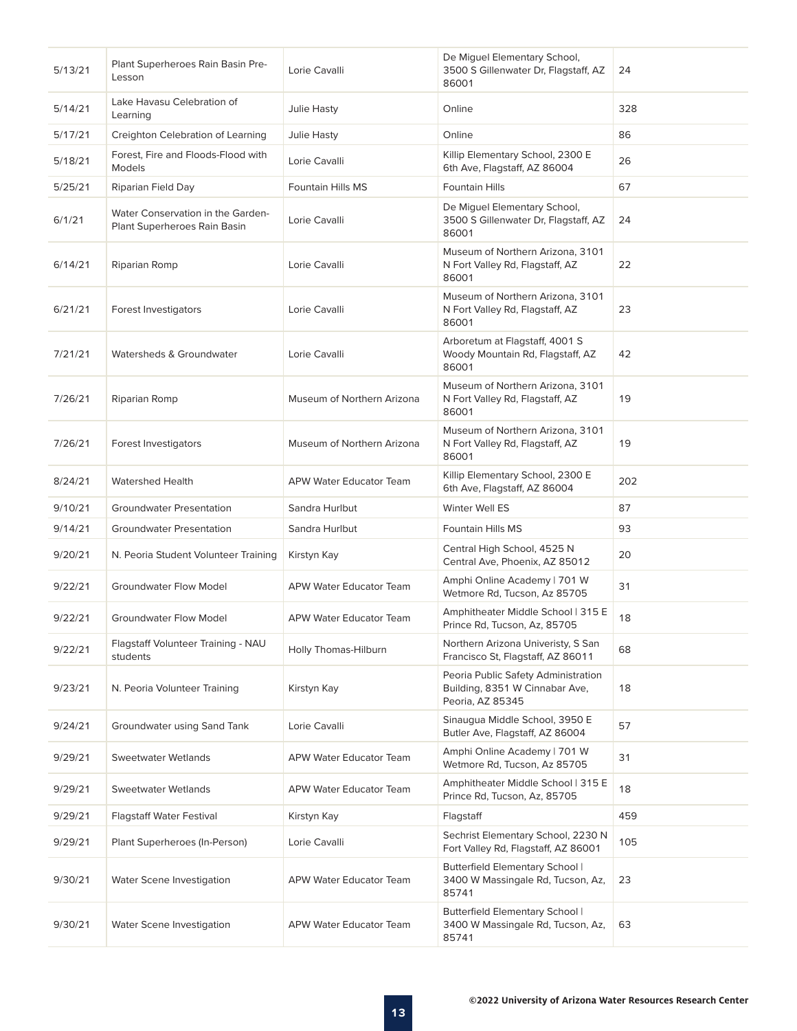| 5/13/21 | Plant Superheroes Rain Basin Pre-<br>Lesson                       | Lorie Cavalli                  | De Miguel Elementary School,<br>3500 S Gillenwater Dr, Flagstaff, AZ<br>86001             | 24  |
|---------|-------------------------------------------------------------------|--------------------------------|-------------------------------------------------------------------------------------------|-----|
| 5/14/21 | Lake Havasu Celebration of<br>Learning                            | Julie Hasty                    | Online                                                                                    | 328 |
| 5/17/21 | Creighton Celebration of Learning                                 | Julie Hasty                    | Online                                                                                    | 86  |
| 5/18/21 | Forest, Fire and Floods-Flood with<br><b>Models</b>               | Lorie Cavalli                  | Killip Elementary School, 2300 E<br>6th Ave, Flagstaff, AZ 86004                          | 26  |
| 5/25/21 | Riparian Field Day                                                | Fountain Hills MS              | Fountain Hills                                                                            | 67  |
| 6/1/21  | Water Conservation in the Garden-<br>Plant Superheroes Rain Basin | Lorie Cavalli                  | De Miquel Elementary School,<br>3500 S Gillenwater Dr, Flagstaff, AZ<br>86001             | 24  |
| 6/14/21 | Riparian Romp                                                     | Lorie Cavalli                  | Museum of Northern Arizona, 3101<br>N Fort Valley Rd, Flagstaff, AZ<br>86001              | 22  |
| 6/21/21 | Forest Investigators                                              | Lorie Cavalli                  | Museum of Northern Arizona, 3101<br>N Fort Valley Rd, Flagstaff, AZ<br>86001              | 23  |
| 7/21/21 | Watersheds & Groundwater                                          | Lorie Cavalli                  | Arboretum at Flagstaff, 4001 S<br>Woody Mountain Rd, Flagstaff, AZ<br>86001               | 42  |
| 7/26/21 | Riparian Romp                                                     | Museum of Northern Arizona     | Museum of Northern Arizona, 3101<br>N Fort Valley Rd, Flagstaff, AZ<br>86001              | 19  |
| 7/26/21 | Forest Investigators                                              | Museum of Northern Arizona     | Museum of Northern Arizona, 3101<br>N Fort Valley Rd, Flagstaff, AZ<br>86001              | 19  |
| 8/24/21 | <b>Watershed Health</b>                                           | APW Water Educator Team        | Killip Elementary School, 2300 E<br>6th Ave, Flagstaff, AZ 86004                          | 202 |
| 9/10/21 | <b>Groundwater Presentation</b>                                   | Sandra Hurlbut                 | Winter Well ES                                                                            | 87  |
| 9/14/21 | <b>Groundwater Presentation</b>                                   | Sandra Hurlbut                 | Fountain Hills MS                                                                         | 93  |
| 9/20/21 | N. Peoria Student Volunteer Training                              | Kirstyn Kay                    | Central High School, 4525 N<br>Central Ave, Phoenix, AZ 85012                             | 20  |
| 9/22/21 | <b>Groundwater Flow Model</b>                                     | <b>APW Water Educator Team</b> | Amphi Online Academy   701 W<br>Wetmore Rd, Tucson, Az 85705                              | 31  |
| 9/22/21 | <b>Groundwater Flow Model</b>                                     | <b>APW Water Educator Team</b> | Amphitheater Middle School   315 E<br>Prince Rd, Tucson, Az, 85705                        | 18  |
| 9/22/21 | Flagstaff Volunteer Training - NAU<br>students                    | Holly Thomas-Hilburn           | Northern Arizona Univeristy, S San<br>Francisco St, Flagstaff, AZ 86011                   | 68  |
| 9/23/21 | N. Peoria Volunteer Training                                      | Kirstyn Kay                    | Peoria Public Safety Administration<br>Building, 8351 W Cinnabar Ave,<br>Peoria, AZ 85345 | 18  |
| 9/24/21 | Groundwater using Sand Tank                                       | Lorie Cavalli                  | Sinaugua Middle School, 3950 E<br>Butler Ave, Flagstaff, AZ 86004                         | 57  |
| 9/29/21 | <b>Sweetwater Wetlands</b>                                        | <b>APW Water Educator Team</b> | Amphi Online Academy   701 W<br>Wetmore Rd, Tucson, Az 85705                              | 31  |
| 9/29/21 | Sweetwater Wetlands                                               | APW Water Educator Team        | Amphitheater Middle School   315 E<br>Prince Rd, Tucson, Az, 85705                        | 18  |
| 9/29/21 | <b>Flagstaff Water Festival</b>                                   | Kirstyn Kay                    | Flagstaff                                                                                 | 459 |
| 9/29/21 | Plant Superheroes (In-Person)                                     | Lorie Cavalli                  | Sechrist Elementary School, 2230 N<br>Fort Valley Rd, Flagstaff, AZ 86001                 | 105 |
| 9/30/21 | Water Scene Investigation                                         | <b>APW Water Educator Team</b> | Butterfield Elementary School  <br>3400 W Massingale Rd, Tucson, Az,<br>85741             | 23  |
| 9/30/21 | Water Scene Investigation                                         | APW Water Educator Team        | Butterfield Elementary School  <br>3400 W Massingale Rd, Tucson, Az,<br>85741             | 63  |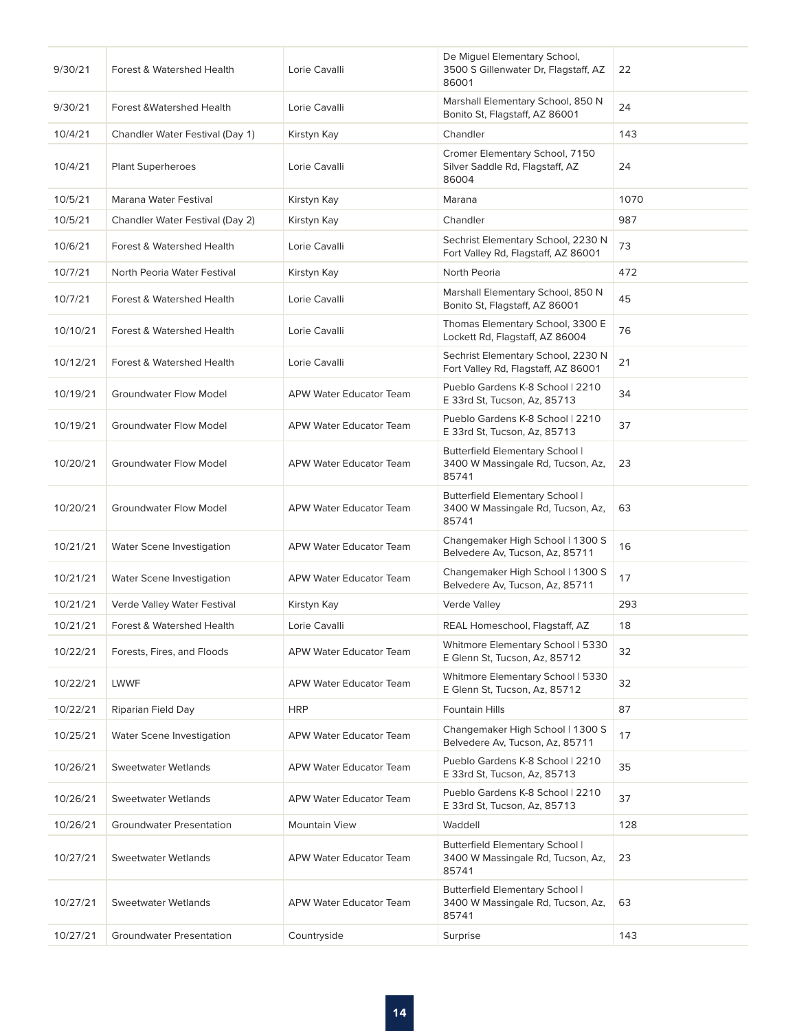| 9/30/21  | Forest & Watershed Health       | Lorie Cavalli                  | De Miguel Elementary School,<br>3500 S Gillenwater Dr, Flagstaff, AZ<br>86001        | 22   |
|----------|---------------------------------|--------------------------------|--------------------------------------------------------------------------------------|------|
| 9/30/21  | Forest & Watershed Health       | Lorie Cavalli                  | Marshall Elementary School, 850 N<br>Bonito St, Flagstaff, AZ 86001                  | 24   |
| 10/4/21  | Chandler Water Festival (Day 1) | Kirstyn Kay                    | Chandler                                                                             | 143  |
| 10/4/21  | <b>Plant Superheroes</b>        | Lorie Cavalli                  | Cromer Elementary School, 7150<br>Silver Saddle Rd, Flagstaff, AZ<br>86004           | 24   |
| 10/5/21  | Marana Water Festival           | Kirstyn Kay                    | Marana                                                                               | 1070 |
| 10/5/21  | Chandler Water Festival (Day 2) | Kirstyn Kay                    | Chandler                                                                             | 987  |
| 10/6/21  | Forest & Watershed Health       | Lorie Cavalli                  | Sechrist Elementary School, 2230 N<br>Fort Valley Rd, Flagstaff, AZ 86001            | 73   |
| 10/7/21  | North Peoria Water Festival     | Kirstyn Kay                    | North Peoria                                                                         | 472  |
| 10/7/21  | Forest & Watershed Health       | Lorie Cavalli                  | Marshall Elementary School, 850 N<br>Bonito St, Flagstaff, AZ 86001                  | 45   |
| 10/10/21 | Forest & Watershed Health       | Lorie Cavalli                  | Thomas Elementary School, 3300 E<br>Lockett Rd, Flagstaff, AZ 86004                  | 76   |
| 10/12/21 | Forest & Watershed Health       | Lorie Cavalli                  | Sechrist Elementary School, 2230 N<br>Fort Valley Rd, Flagstaff, AZ 86001            | 21   |
| 10/19/21 | <b>Groundwater Flow Model</b>   | APW Water Educator Team        | Pueblo Gardens K-8 School   2210<br>E 33rd St, Tucson, Az, 85713                     | 34   |
| 10/19/21 | <b>Groundwater Flow Model</b>   | APW Water Educator Team        | Pueblo Gardens K-8 School   2210<br>E 33rd St, Tucson, Az, 85713                     | 37   |
| 10/20/21 | <b>Groundwater Flow Model</b>   | APW Water Educator Team        | <b>Butterfield Elementary School  </b><br>3400 W Massingale Rd, Tucson, Az,<br>85741 | 23   |
| 10/20/21 | <b>Groundwater Flow Model</b>   | APW Water Educator Team        | Butterfield Elementary School  <br>3400 W Massingale Rd, Tucson, Az,<br>85741        | 63   |
| 10/21/21 | Water Scene Investigation       | APW Water Educator Team        | Changemaker High School   1300 S<br>Belvedere Av, Tucson, Az, 85711                  | 16   |
| 10/21/21 | Water Scene Investigation       | APW Water Educator Team        | Changemaker High School   1300 S<br>Belvedere Av, Tucson, Az, 85711                  | 17   |
| 10/21/21 | Verde Valley Water Festival     | Kirstyn Kay                    | Verde Valley                                                                         | 293  |
| 10/21/21 | Forest & Watershed Health       | Lorie Cavalli                  | REAL Homeschool, Flagstaff, AZ                                                       | 18   |
| 10/22/21 | Forests, Fires, and Floods      | APW Water Educator Team        | Whitmore Elementary School   5330<br>E Glenn St, Tucson, Az, 85712                   | 32   |
| 10/22/21 | LWWF                            | <b>APW Water Educator Team</b> | Whitmore Elementary School   5330<br>E Glenn St, Tucson, Az, 85712                   | 32   |
| 10/22/21 | Riparian Field Day              | <b>HRP</b>                     | <b>Fountain Hills</b>                                                                | 87   |
| 10/25/21 | Water Scene Investigation       | APW Water Educator Team        | Changemaker High School   1300 S<br>Belvedere Av, Tucson, Az, 85711                  | 17   |
| 10/26/21 | <b>Sweetwater Wetlands</b>      | APW Water Educator Team        | Pueblo Gardens K-8 School   2210<br>E 33rd St, Tucson, Az, 85713                     | 35   |
| 10/26/21 | Sweetwater Wetlands             | APW Water Educator Team        | Pueblo Gardens K-8 School   2210<br>E 33rd St, Tucson, Az, 85713                     | 37   |
| 10/26/21 | <b>Groundwater Presentation</b> | <b>Mountain View</b>           | Waddell                                                                              | 128  |
| 10/27/21 | <b>Sweetwater Wetlands</b>      | APW Water Educator Team        | Butterfield Elementary School  <br>3400 W Massingale Rd, Tucson, Az,<br>85741        | 23   |
| 10/27/21 | <b>Sweetwater Wetlands</b>      | APW Water Educator Team        | <b>Butterfield Elementary School  </b><br>3400 W Massingale Rd, Tucson, Az,<br>85741 | 63   |
| 10/27/21 | <b>Groundwater Presentation</b> | Countryside                    | Surprise                                                                             | 143  |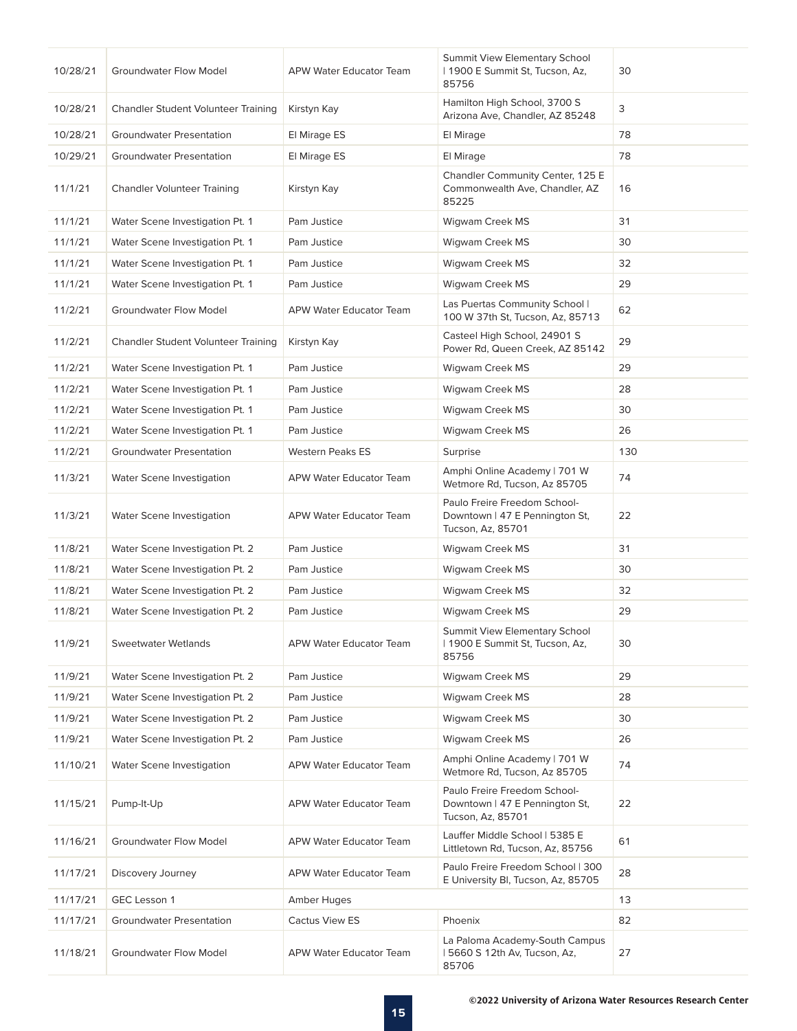| 10/28/21 | <b>Groundwater Flow Model</b>              | <b>APW Water Educator Team</b> | Summit View Elementary School<br>  1900 E Summit St, Tucson, Az,<br>85756           | 30  |
|----------|--------------------------------------------|--------------------------------|-------------------------------------------------------------------------------------|-----|
| 10/28/21 | <b>Chandler Student Volunteer Training</b> | Kirstyn Kay                    | Hamilton High School, 3700 S<br>Arizona Ave, Chandler, AZ 85248                     | 3   |
| 10/28/21 | <b>Groundwater Presentation</b>            | El Mirage ES                   | El Mirage                                                                           | 78  |
| 10/29/21 | <b>Groundwater Presentation</b>            | El Mirage ES                   | El Mirage                                                                           | 78  |
| 11/1/21  | <b>Chandler Volunteer Training</b>         | Kirstyn Kay                    | Chandler Community Center, 125 E<br>Commonwealth Ave, Chandler, AZ<br>85225         | 16  |
| 11/1/21  | Water Scene Investigation Pt. 1            | Pam Justice                    | Wigwam Creek MS                                                                     | 31  |
| 11/1/21  | Water Scene Investigation Pt. 1            | Pam Justice                    | Wigwam Creek MS                                                                     | 30  |
| 11/1/21  | Water Scene Investigation Pt. 1            | Pam Justice                    | Wigwam Creek MS                                                                     | 32  |
| 11/1/21  | Water Scene Investigation Pt. 1            | Pam Justice                    | Wigwam Creek MS                                                                     | 29  |
| 11/2/21  | <b>Groundwater Flow Model</b>              | <b>APW Water Educator Team</b> | Las Puertas Community School  <br>100 W 37th St, Tucson, Az, 85713                  | 62  |
| 11/2/21  | Chandler Student Volunteer Training        | Kirstyn Kay                    | Casteel High School, 24901 S<br>Power Rd, Queen Creek, AZ 85142                     | 29  |
| 11/2/21  | Water Scene Investigation Pt. 1            | Pam Justice                    | Wigwam Creek MS                                                                     | 29  |
| 11/2/21  | Water Scene Investigation Pt. 1            | Pam Justice                    | Wigwam Creek MS                                                                     | 28  |
| 11/2/21  | Water Scene Investigation Pt. 1            | Pam Justice                    | Wigwam Creek MS                                                                     | 30  |
| 11/2/21  | Water Scene Investigation Pt. 1            | Pam Justice                    | Wigwam Creek MS                                                                     | 26  |
| 11/2/21  | <b>Groundwater Presentation</b>            | <b>Western Peaks ES</b>        | Surprise                                                                            | 130 |
| 11/3/21  | Water Scene Investigation                  | APW Water Educator Team        | Amphi Online Academy   701 W<br>Wetmore Rd, Tucson, Az 85705                        | 74  |
| 11/3/21  | Water Scene Investigation                  | <b>APW Water Educator Team</b> | Paulo Freire Freedom School-<br>Downtown   47 E Pennington St,<br>Tucson, Az, 85701 | 22  |
| 11/8/21  | Water Scene Investigation Pt. 2            | Pam Justice                    | Wigwam Creek MS                                                                     | 31  |
| 11/8/21  | Water Scene Investigation Pt. 2            | Pam Justice                    | Wigwam Creek MS                                                                     | 30  |
| 11/8/21  | Water Scene Investigation Pt. 2            | Pam Justice                    | Wigwam Creek MS                                                                     | 32  |
| 11/8/21  | Water Scene Investigation Pt. 2            | Pam Justice                    | Wigwam Creek MS                                                                     | 29  |
| 11/9/21  | <b>Sweetwater Wetlands</b>                 | <b>APW Water Educator Team</b> | <b>Summit View Elementary School</b><br>  1900 E Summit St, Tucson, Az,<br>85756    | 30  |
| 11/9/21  | Water Scene Investigation Pt. 2            | Pam Justice                    | Wigwam Creek MS                                                                     | 29  |
| 11/9/21  | Water Scene Investigation Pt. 2            | Pam Justice                    | Wigwam Creek MS                                                                     | 28  |
| 11/9/21  | Water Scene Investigation Pt. 2            | Pam Justice                    | Wigwam Creek MS                                                                     | 30  |
| 11/9/21  | Water Scene Investigation Pt. 2            | Pam Justice                    | Wigwam Creek MS                                                                     | 26  |
| 11/10/21 | Water Scene Investigation                  | APW Water Educator Team        | Amphi Online Academy   701 W<br>Wetmore Rd, Tucson, Az 85705                        | 74  |
| 11/15/21 | Pump-It-Up                                 | APW Water Educator Team        | Paulo Freire Freedom School-<br>Downtown   47 E Pennington St,<br>Tucson, Az, 85701 | 22  |
| 11/16/21 | <b>Groundwater Flow Model</b>              | APW Water Educator Team        | Lauffer Middle School   5385 E<br>Littletown Rd, Tucson, Az, 85756                  | 61  |
| 11/17/21 | Discovery Journey                          | APW Water Educator Team        | Paulo Freire Freedom School   300<br>E University Bl, Tucson, Az, 85705             | 28  |
| 11/17/21 | GEC Lesson 1                               | Amber Huges                    |                                                                                     | 13  |
| 11/17/21 | <b>Groundwater Presentation</b>            | Cactus View ES                 | Phoenix                                                                             | 82  |
| 11/18/21 | <b>Groundwater Flow Model</b>              | APW Water Educator Team        | La Paloma Academy-South Campus<br>15660 S 12th Av, Tucson, Az,<br>85706             | 27  |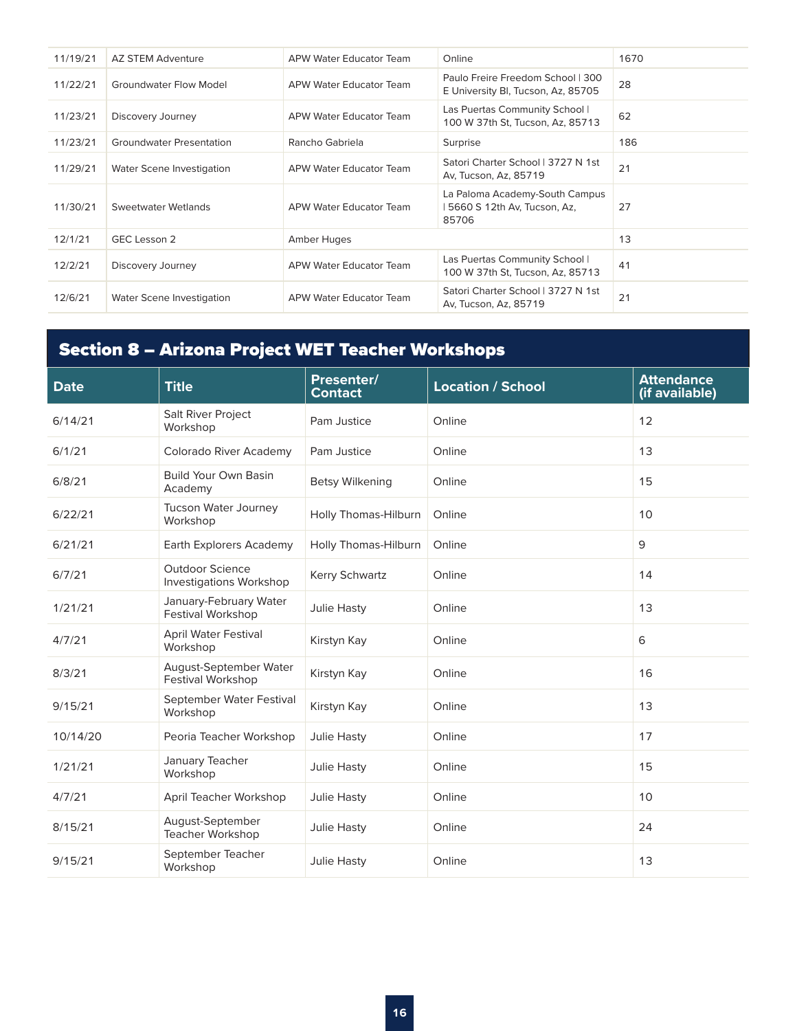| 11/19/21 | AZ STEM Adventure               | APW Water Educator Team        | Online                                                                  | 1670 |
|----------|---------------------------------|--------------------------------|-------------------------------------------------------------------------|------|
| 11/22/21 | Groundwater Flow Model          | APW Water Educator Team        | Paulo Freire Freedom School   300<br>E University BI, Tucson, Az, 85705 | 28   |
| 11/23/21 | Discovery Journey               | APW Water Educator Team        | Las Puertas Community School  <br>100 W 37th St, Tucson, Az, 85713      | 62   |
| 11/23/21 | <b>Groundwater Presentation</b> | Rancho Gabriela                | Surprise                                                                | 186  |
| 11/29/21 | Water Scene Investigation       | APW Water Educator Team        | Satori Charter School   3727 N 1st<br>Av, Tucson, Az, 85719             | 21   |
| 11/30/21 | Sweetwater Wetlands             | APW Water Educator Team        | La Paloma Academy-South Campus<br>5660 S 12th Av, Tucson, Az,<br>85706  | 27   |
| 12/1/21  | GEC Lesson 2                    | Amber Huges                    |                                                                         | 13   |
| 12/2/21  | Discovery Journey               | APW Water Educator Team        | Las Puertas Community School  <br>100 W 37th St, Tucson, Az, 85713      | 41   |
| 12/6/21  | Water Scene Investigation       | <b>APW Water Educator Team</b> | Satori Charter School   3727 N 1st<br>Av. Tucson, Az. 85719             | 21   |

# Section 8 – Arizona Project WET Teacher Workshops

| <b>Date</b> | <b>Title</b>                                      | Presenter/<br><b>Contact</b> | <b>Location / School</b> | <b>Attendance</b><br>(if available) |
|-------------|---------------------------------------------------|------------------------------|--------------------------|-------------------------------------|
| 6/14/21     | Salt River Project<br>Workshop                    | Pam Justice                  | Online                   | 12                                  |
| 6/1/21      | Colorado River Academy                            | Pam Justice                  | Online                   | 13                                  |
| 6/8/21      | <b>Build Your Own Basin</b><br>Academy            | <b>Betsy Wilkening</b>       | Online                   | 15                                  |
| 6/22/21     | Tucson Water Journey<br>Workshop                  | Holly Thomas-Hilburn         | Online                   | 10                                  |
| 6/21/21     | Earth Explorers Academy                           | Holly Thomas-Hilburn         | Online                   | 9                                   |
| 6/7/21      | <b>Outdoor Science</b><br>Investigations Workshop | Kerry Schwartz               | Online                   | 14                                  |
| 1/21/21     | January-February Water<br>Festival Workshop       | <b>Julie Hasty</b>           | Online                   | 13                                  |
| 4/7/21      | April Water Festival<br>Workshop                  | Kirstyn Kay                  | Online                   | 6                                   |
| 8/3/21      | August-September Water<br>Festival Workshop       | Kirstyn Kay                  | Online                   | 16                                  |
| 9/15/21     | September Water Festival<br>Workshop              | Kirstyn Kay                  | Online                   | 13                                  |
| 10/14/20    | Peoria Teacher Workshop                           | Julie Hasty                  | Online                   | 17                                  |
| 1/21/21     | January Teacher<br>Workshop                       | Julie Hasty                  | Online                   | 15                                  |
| 4/7/21      | April Teacher Workshop                            | Julie Hasty                  | Online                   | 10                                  |
| 8/15/21     | August-September<br>Teacher Workshop              | Julie Hasty                  | Online                   | 24                                  |
| 9/15/21     | September Teacher<br>Workshop                     | Julie Hasty                  | Online                   | 13                                  |